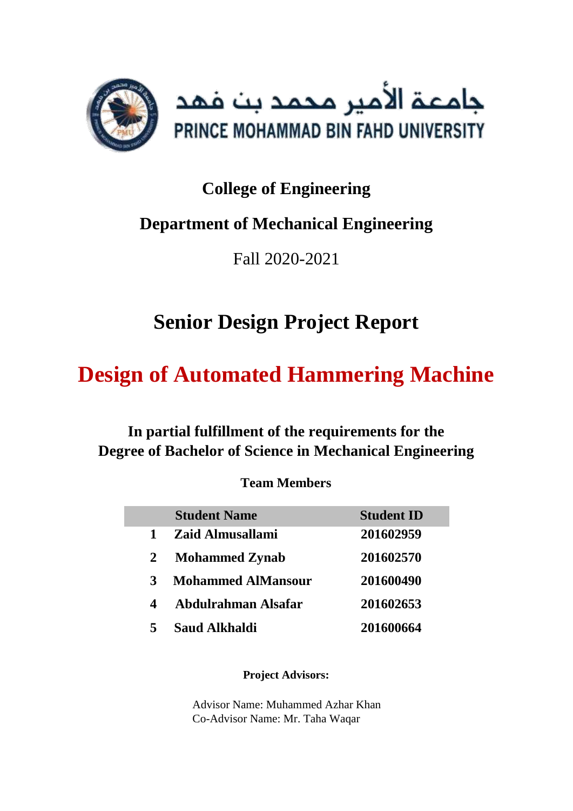

## **College of Engineering**

## **Department of Mechanical Engineering**

Fall 2020-2021

# **Senior Design Project Report**

# **Design of Automated Hammering Machine**

**In partial fulfillment of the requirements for the Degree of Bachelor of Science in Mechanical Engineering**

## **Team Members**

|   | <b>Student Name</b>       | <b>Student ID</b> |
|---|---------------------------|-------------------|
| 1 | Zaid Almusallami          | 201602959         |
| 2 | <b>Mohammed Zynab</b>     | 201602570         |
| 3 | <b>Mohammed AlMansour</b> | 201600490         |
| 4 | Abdulrahman Alsafar       | 201602653         |
|   | <b>Saud Alkhaldi</b>      | 201600664         |

### **Project Advisors:**

Advisor Name: Muhammed Azhar Khan Co-Advisor Name: Mr. Taha Waqar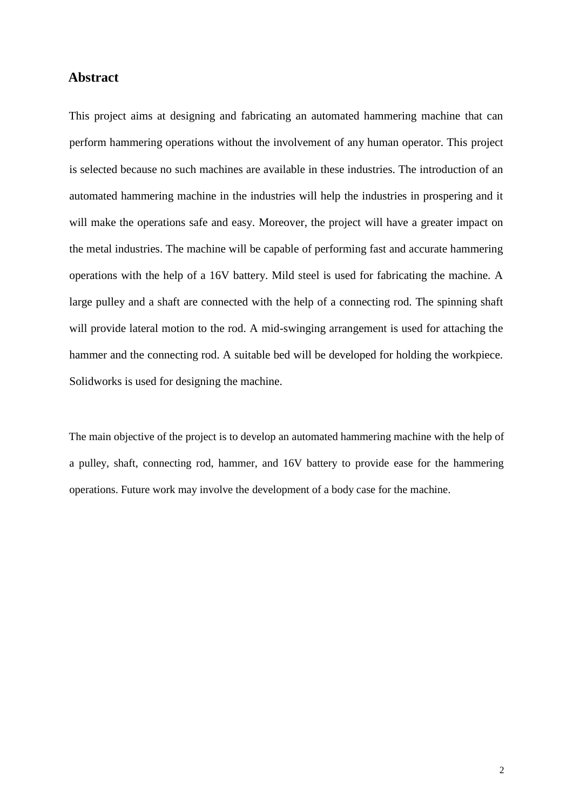#### <span id="page-1-0"></span>**Abstract**

This project aims at designing and fabricating an automated hammering machine that can perform hammering operations without the involvement of any human operator. This project is selected because no such machines are available in these industries. The introduction of an automated hammering machine in the industries will help the industries in prospering and it will make the operations safe and easy. Moreover, the project will have a greater impact on the metal industries. The machine will be capable of performing fast and accurate hammering operations with the help of a 16V battery. Mild steel is used for fabricating the machine. A large pulley and a shaft are connected with the help of a connecting rod. The spinning shaft will provide lateral motion to the rod. A mid-swinging arrangement is used for attaching the hammer and the connecting rod. A suitable bed will be developed for holding the workpiece. Solidworks is used for designing the machine.

The main objective of the project is to develop an automated hammering machine with the help of a pulley, shaft, connecting rod, hammer, and 16V battery to provide ease for the hammering operations. Future work may involve the development of a body case for the machine.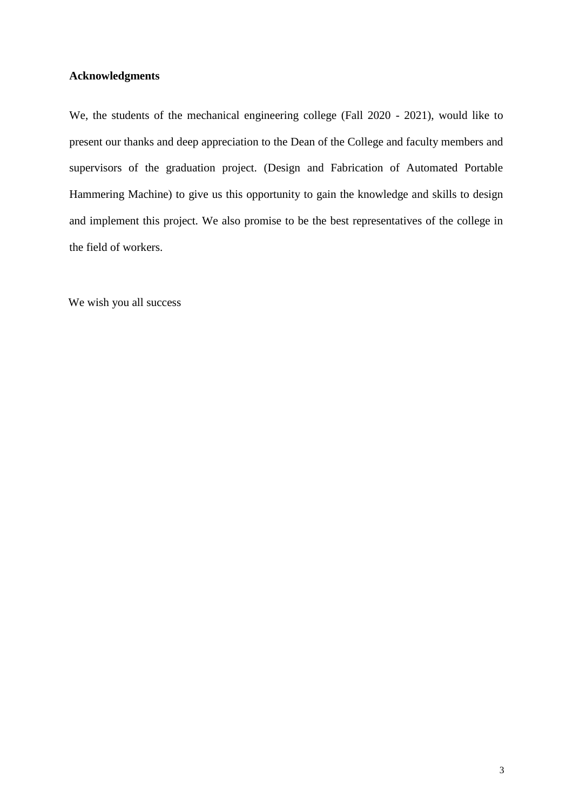#### <span id="page-2-0"></span>**Acknowledgments**

We, the students of the mechanical engineering college (Fall 2020 - 2021), would like to present our thanks and deep appreciation to the Dean of the College and faculty members and supervisors of the graduation project. (Design and Fabrication of Automated Portable Hammering Machine) to give us this opportunity to gain the knowledge and skills to design and implement this project. We also promise to be the best representatives of the college in the field of workers.

We wish you all success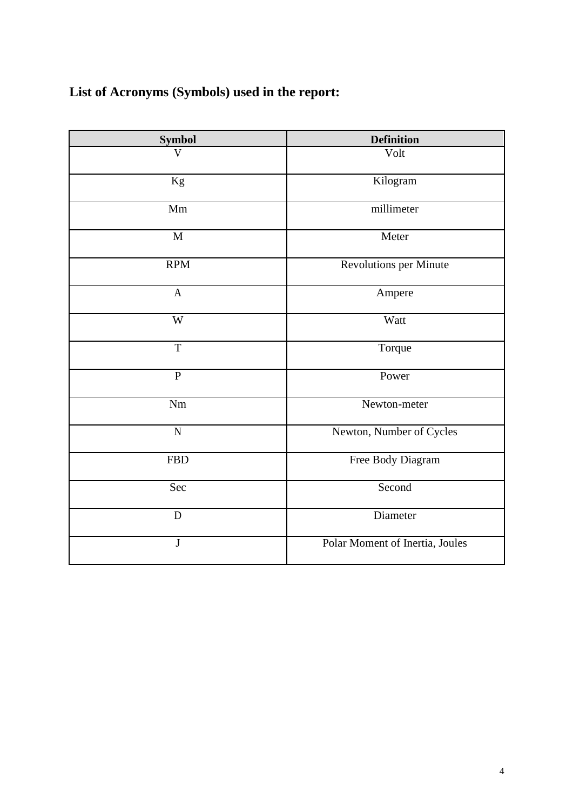## <span id="page-3-0"></span>**List of Acronyms (Symbols) used in the report:**

| <b>Symbol</b>  | <b>Definition</b>               |
|----------------|---------------------------------|
| V              | Volt                            |
| Kg             | Kilogram                        |
| Mm             | millimeter                      |
| M              | Meter                           |
| <b>RPM</b>     | <b>Revolutions per Minute</b>   |
| $\mathbf{A}$   | Ampere                          |
| W              | Watt                            |
| $\overline{T}$ | Torque                          |
| $\overline{P}$ | Power                           |
| Nm             | Newton-meter                    |
| $\overline{N}$ | Newton, Number of Cycles        |
| <b>FBD</b>     | Free Body Diagram               |
| Sec            | Second                          |
| D              | Diameter                        |
| $\bf J$        | Polar Moment of Inertia, Joules |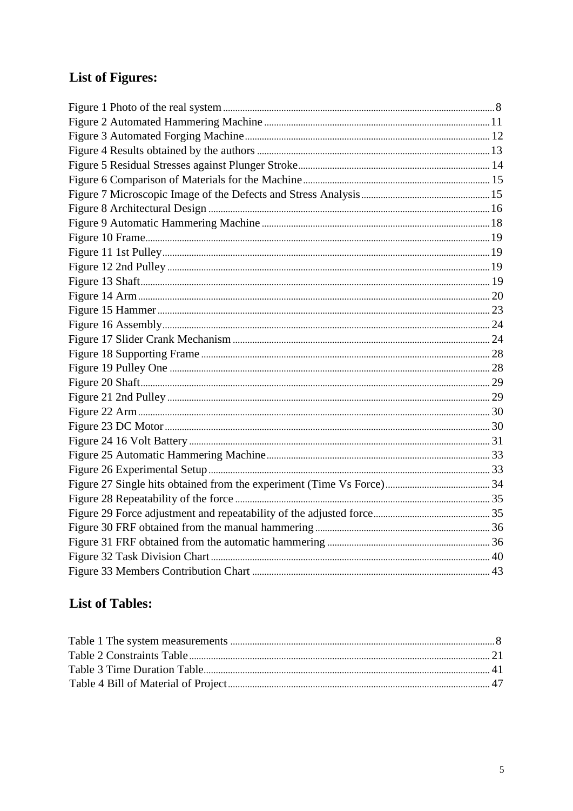## <span id="page-4-0"></span>**List of Figures:**

## **List of Tables:**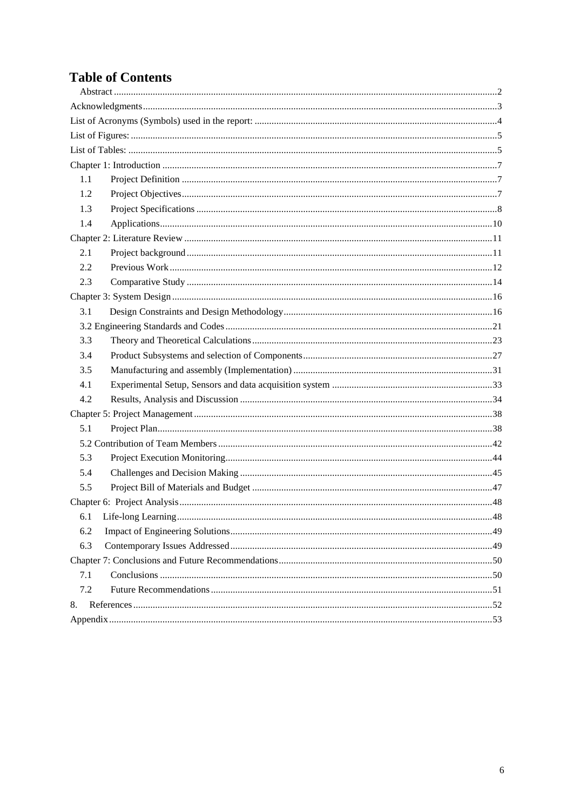## **Table of Contents**

| 1.1 |
|-----|
| 1.2 |
| 1.3 |
| 1.4 |
|     |
| 2.1 |
| 2.2 |
| 2.3 |
|     |
| 3.1 |
|     |
| 3.3 |
| 3.4 |
| 3.5 |
| 4.1 |
| 4.2 |
|     |
| 5.1 |
|     |
| 5.3 |
| 5.4 |
| 5.5 |
|     |
| .48 |
| 6.2 |
| 6.3 |
|     |
| 7.1 |
| 7.2 |
| 8.  |
|     |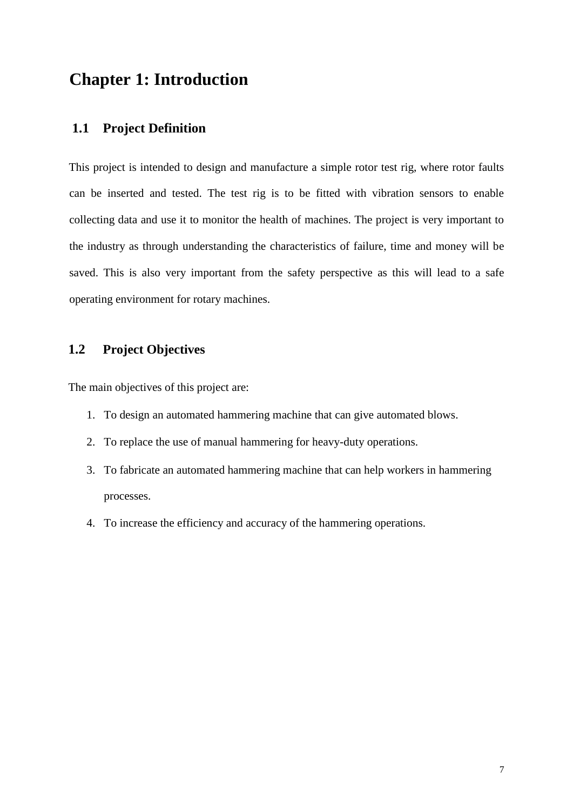## <span id="page-6-0"></span>**Chapter 1: Introduction**

### **1.1 Project Definition**

This project is intended to design and manufacture a simple rotor test rig, where rotor faults can be inserted and tested. The test rig is to be fitted with vibration sensors to enable collecting data and use it to monitor the health of machines. The project is very important to the industry as through understanding the characteristics of failure, time and money will be saved. This is also very important from the safety perspective as this will lead to a safe operating environment for rotary machines.

## **1.2 Project Objectives**

The main objectives of this project are:

- 1. To design an automated hammering machine that can give automated blows.
- 2. To replace the use of manual hammering for heavy-duty operations.
- 3. To fabricate an automated hammering machine that can help workers in hammering processes.
- 4. To increase the efficiency and accuracy of the hammering operations.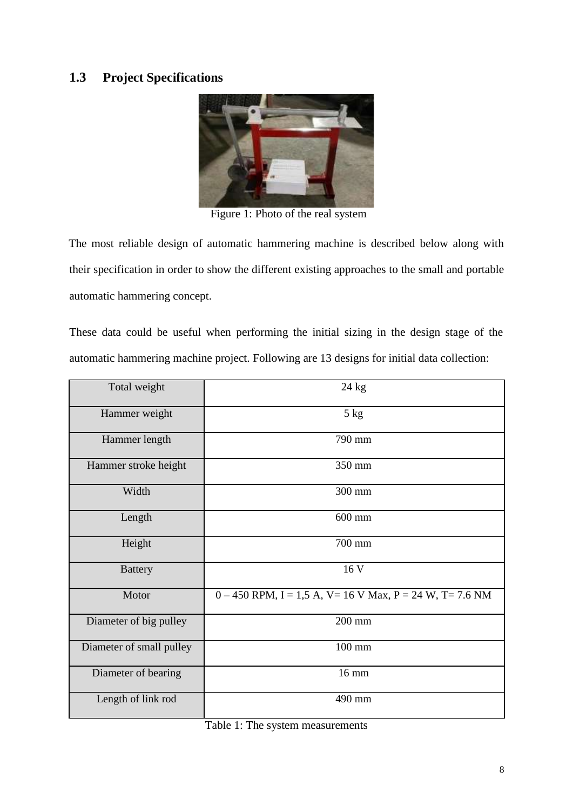## <span id="page-7-0"></span>**1.3 Project Specifications**



Figure 1: Photo of the real system

The most reliable design of automatic hammering machine is described below along with their specification in order to show the different existing approaches to the small and portable automatic hammering concept.

These data could be useful when performing the initial sizing in the design stage of the automatic hammering machine project. Following are 13 designs for initial data collection:

| Total weight             | $24$ kg                                                      |
|--------------------------|--------------------------------------------------------------|
| Hammer weight            | $5$ kg                                                       |
| Hammer length            | 790 mm                                                       |
| Hammer stroke height     | 350 mm                                                       |
| Width                    | 300 mm                                                       |
| Length                   | $600$ mm                                                     |
| Height                   | 700 mm                                                       |
| <b>Battery</b>           | 16 V                                                         |
| Motor                    | $0 - 450$ RPM, I = 1,5 A, V = 16 V Max, P = 24 W, T = 7.6 NM |
| Diameter of big pulley   | 200 mm                                                       |
| Diameter of small pulley | $100$ mm                                                     |
| Diameter of bearing      | 16 mm                                                        |
| Length of link rod       | 490 mm                                                       |

Table 1: The system measurements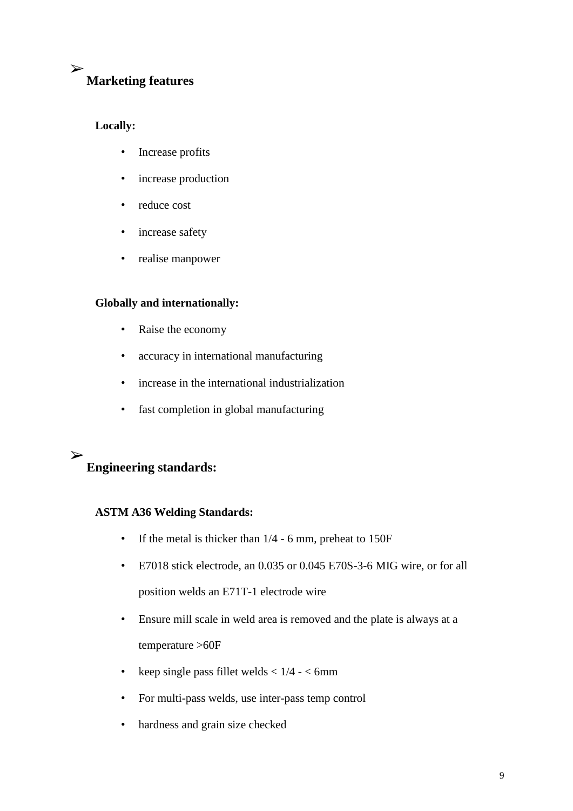#### ➢ **Marketing features**

### **Locally:**

- Increase profits
- increase production
- reduce cost
- increase safety
- realise manpower

### **Globally and internationally:**

- Raise the economy
- accuracy in international manufacturing
- increase in the international industrialization
- fast completion in global manufacturing

#### ➢ **Engineering standards:**

#### **ASTM A36 Welding Standards:**

- If the metal is thicker than  $1/4 6$  mm, preheat to 150F
- E7018 stick electrode, an 0.035 or 0.045 E70S-3-6 MIG wire, or for all position welds an E71T-1 electrode wire
- Ensure mill scale in weld area is removed and the plate is always at a temperature >60F
- keep single pass fillet welds  $< 1/4 < 6$ mm
- For multi-pass welds, use inter-pass temp control
- hardness and grain size checked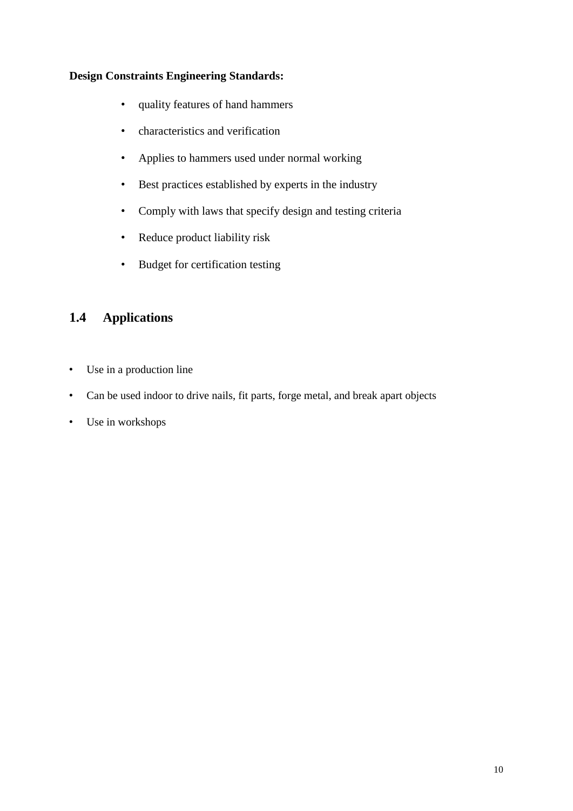#### <span id="page-9-0"></span>**Design Constraints Engineering Standards:**

- quality features of hand hammers
- characteristics and verification
- Applies to hammers used under normal working
- Best practices established by experts in the industry
- Comply with laws that specify design and testing criteria
- Reduce product liability risk
- Budget for certification testing

## **1.4 Applications**

- Use in a production line
- Can be used indoor to drive nails, fit parts, forge metal, and break apart objects
- Use in workshops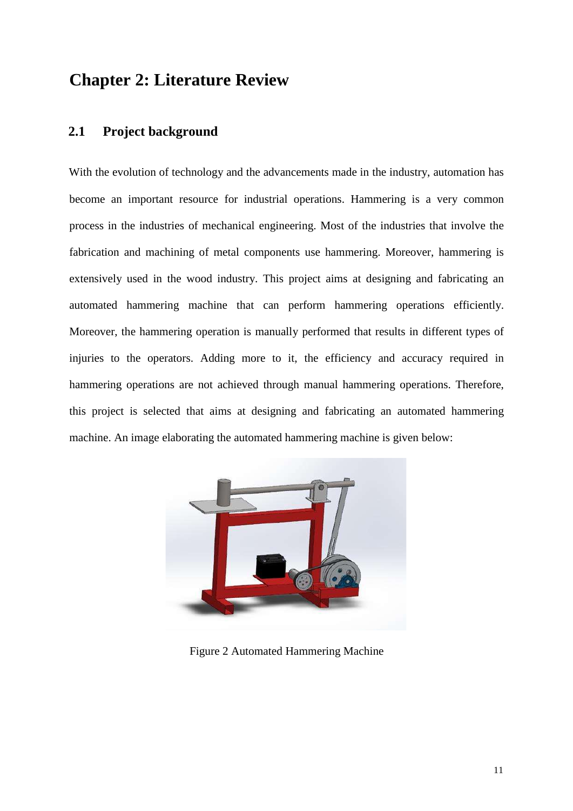## <span id="page-10-0"></span>**Chapter 2: Literature Review**

### **2.1 Project background**

With the evolution of technology and the advancements made in the industry, automation has become an important resource for industrial operations. Hammering is a very common process in the industries of mechanical engineering. Most of the industries that involve the fabrication and machining of metal components use hammering. Moreover, hammering is extensively used in the wood industry. This project aims at designing and fabricating an automated hammering machine that can perform hammering operations efficiently. Moreover, the hammering operation is manually performed that results in different types of injuries to the operators. Adding more to it, the efficiency and accuracy required in hammering operations are not achieved through manual hammering operations. Therefore, this project is selected that aims at designing and fabricating an automated hammering machine. An image elaborating the automated hammering machine is given below:



Figure 2 Automated Hammering Machine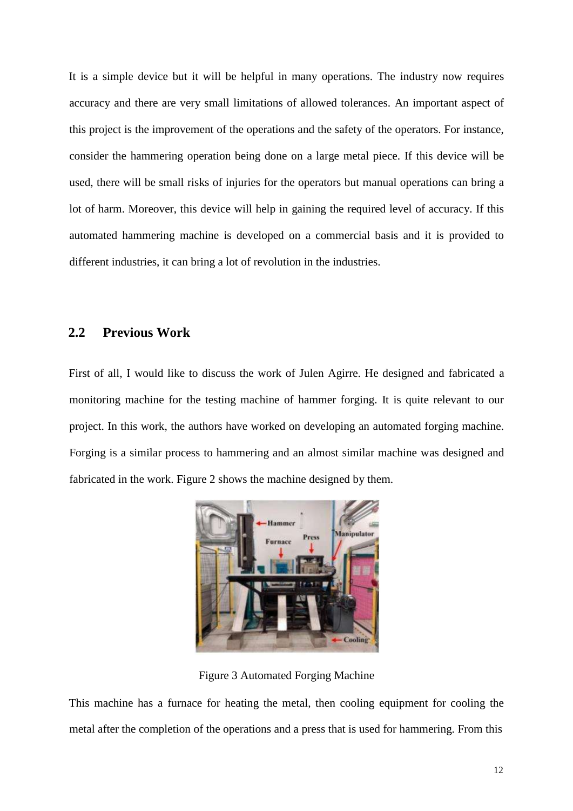<span id="page-11-0"></span>It is a simple device but it will be helpful in many operations. The industry now requires accuracy and there are very small limitations of allowed tolerances. An important aspect of this project is the improvement of the operations and the safety of the operators. For instance, consider the hammering operation being done on a large metal piece. If this device will be used, there will be small risks of injuries for the operators but manual operations can bring a lot of harm. Moreover, this device will help in gaining the required level of accuracy. If this automated hammering machine is developed on a commercial basis and it is provided to different industries, it can bring a lot of revolution in the industries.

#### **2.2 Previous Work**

First of all, I would like to discuss the work of Julen Agirre. He designed and fabricated a monitoring machine for the testing machine of hammer forging. It is quite relevant to our project. In this work, the authors have worked on developing an automated forging machine. Forging is a similar process to hammering and an almost similar machine was designed and fabricated in the work. Figure 2 shows the machine designed by them.



Figure 3 Automated Forging Machine

This machine has a furnace for heating the metal, then cooling equipment for cooling the metal after the completion of the operations and a press that is used for hammering. From this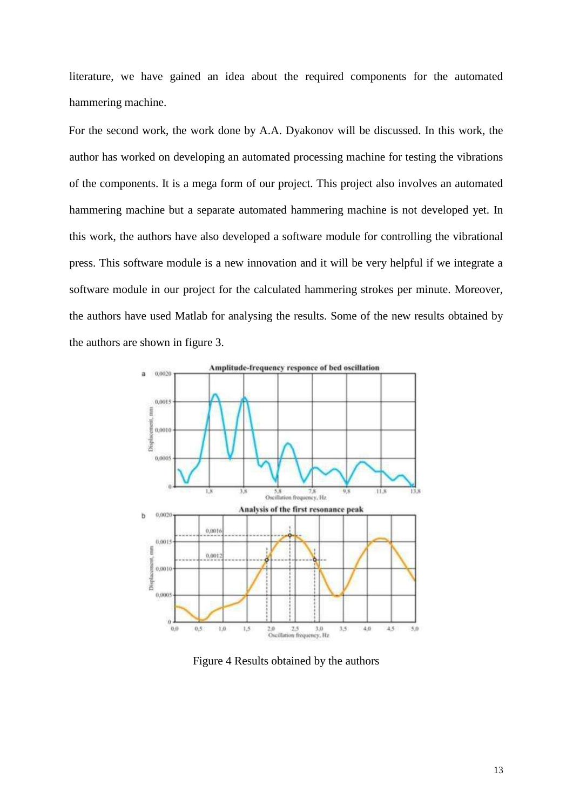literature, we have gained an idea about the required components for the automated hammering machine.

For the second work, the work done by A.A. Dyakonov will be discussed. In this work, the author has worked on developing an automated processing machine for testing the vibrations of the components. It is a mega form of our project. This project also involves an automated hammering machine but a separate automated hammering machine is not developed yet. In this work, the authors have also developed a software module for controlling the vibrational press. This software module is a new innovation and it will be very helpful if we integrate a software module in our project for the calculated hammering strokes per minute. Moreover, the authors have used Matlab for analysing the results. Some of the new results obtained by the authors are shown in figure 3.



Figure 4 Results obtained by the authors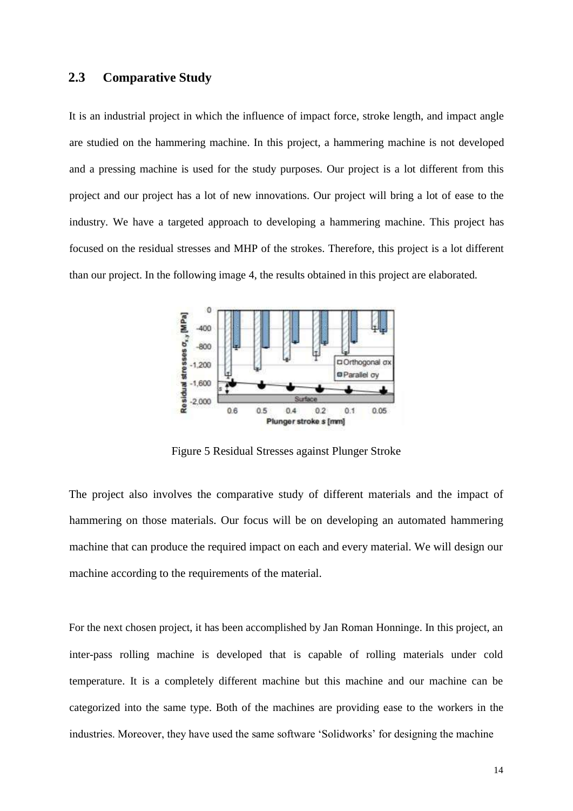#### <span id="page-13-0"></span>**2.3 Comparative Study**

It is an industrial project in which the influence of impact force, stroke length, and impact angle are studied on the hammering machine. In this project, a hammering machine is not developed and a pressing machine is used for the study purposes. Our project is a lot different from this project and our project has a lot of new innovations. Our project will bring a lot of ease to the industry. We have a targeted approach to developing a hammering machine. This project has focused on the residual stresses and MHP of the strokes. Therefore, this project is a lot different than our project. In the following image 4, the results obtained in this project are elaborated.



Figure 5 Residual Stresses against Plunger Stroke

The project also involves the comparative study of different materials and the impact of hammering on those materials. Our focus will be on developing an automated hammering machine that can produce the required impact on each and every material. We will design our machine according to the requirements of the material.

For the next chosen project, it has been accomplished by Jan Roman Honninge. In this project, an inter-pass rolling machine is developed that is capable of rolling materials under cold temperature. It is a completely different machine but this machine and our machine can be categorized into the same type. Both of the machines are providing ease to the workers in the industries. Moreover, they have used the same software 'Solidworks' for designing the machine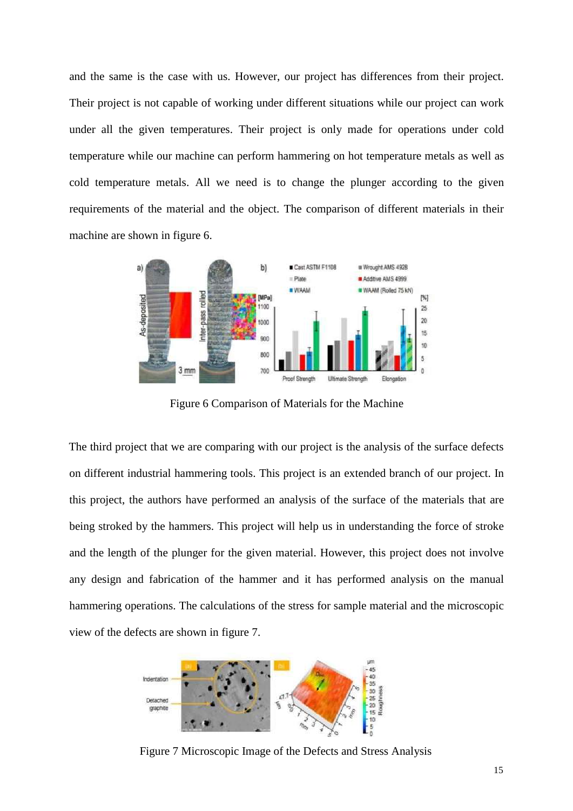and the same is the case with us. However, our project has differences from their project. Their project is not capable of working under different situations while our project can work under all the given temperatures. Their project is only made for operations under cold temperature while our machine can perform hammering on hot temperature metals as well as cold temperature metals. All we need is to change the plunger according to the given requirements of the material and the object. The comparison of different materials in their machine are shown in figure 6.



Figure 6 Comparison of Materials for the Machine

The third project that we are comparing with our project is the analysis of the surface defects on different industrial hammering tools. This project is an extended branch of our project. In this project, the authors have performed an analysis of the surface of the materials that are being stroked by the hammers. This project will help us in understanding the force of stroke and the length of the plunger for the given material. However, this project does not involve any design and fabrication of the hammer and it has performed analysis on the manual hammering operations. The calculations of the stress for sample material and the microscopic view of the defects are shown in figure 7.



Figure 7 Microscopic Image of the Defects and Stress Analysis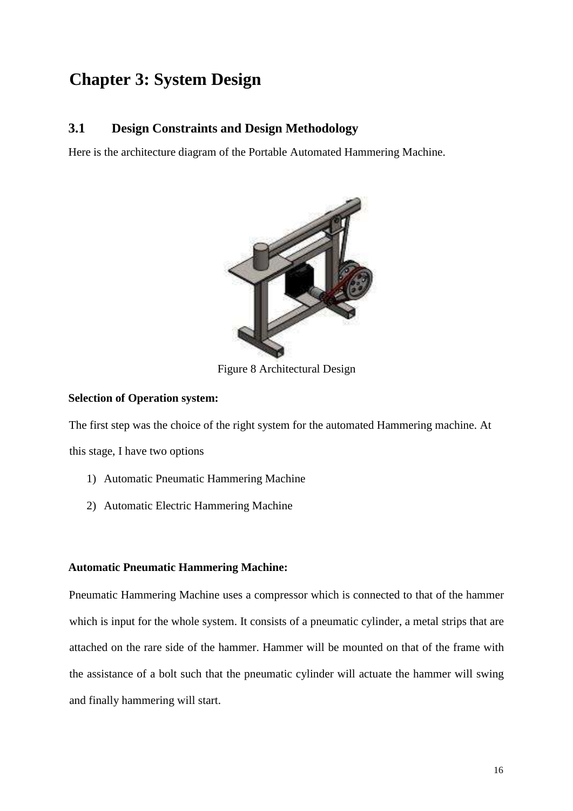## <span id="page-15-0"></span>**Chapter 3: System Design**

#### **3.1 Design Constraints and Design Methodology**

Here is the architecture diagram of the Portable Automated Hammering Machine.



Figure 8 Architectural Design

#### **Selection of Operation system:**

The first step was the choice of the right system for the automated Hammering machine. At this stage, I have two options

- 1) Automatic Pneumatic Hammering Machine
- 2) Automatic Electric Hammering Machine

#### **Automatic Pneumatic Hammering Machine:**

Pneumatic Hammering Machine uses a compressor which is connected to that of the hammer which is input for the whole system. It consists of a pneumatic cylinder, a metal strips that are attached on the rare side of the hammer. Hammer will be mounted on that of the frame with the assistance of a bolt such that the pneumatic cylinder will actuate the hammer will swing and finally hammering will start.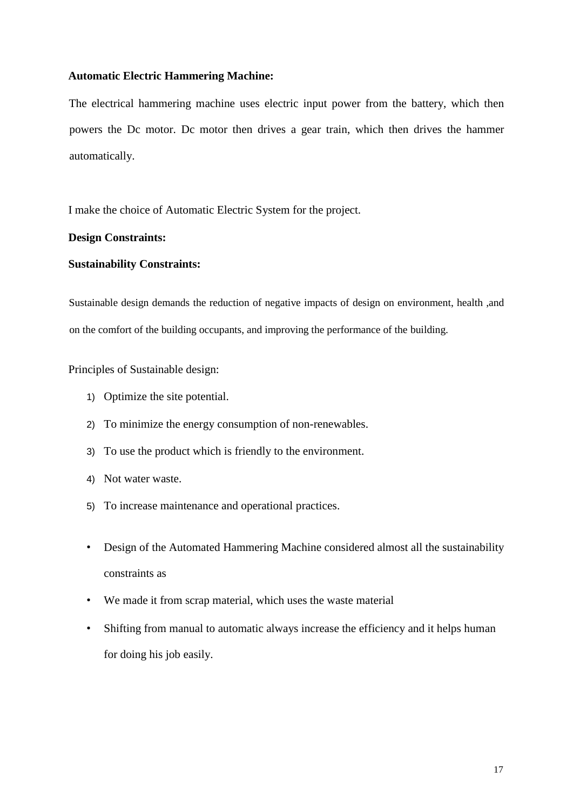#### **Automatic Electric Hammering Machine:**

The electrical hammering machine uses electric input power from the battery, which then powers the Dc motor. Dc motor then drives a gear train, which then drives the hammer automatically.

I make the choice of Automatic Electric System for the project.

#### **Design Constraints:**

#### **Sustainability Constraints:**

Sustainable design demands the reduction of negative impacts of design on environment, health ,and on the comfort of the building occupants, and improving the performance of the building.

Principles of Sustainable design:

- 1) Optimize the site potential.
- 2) To minimize the energy consumption of non-renewables.
- 3) To use the product which is friendly to the environment.
- 4) Not water waste.
- 5) To increase maintenance and operational practices.
- Design of the Automated Hammering Machine considered almost all the sustainability constraints as
- We made it from scrap material, which uses the waste material
- Shifting from manual to automatic always increase the efficiency and it helps human for doing his job easily.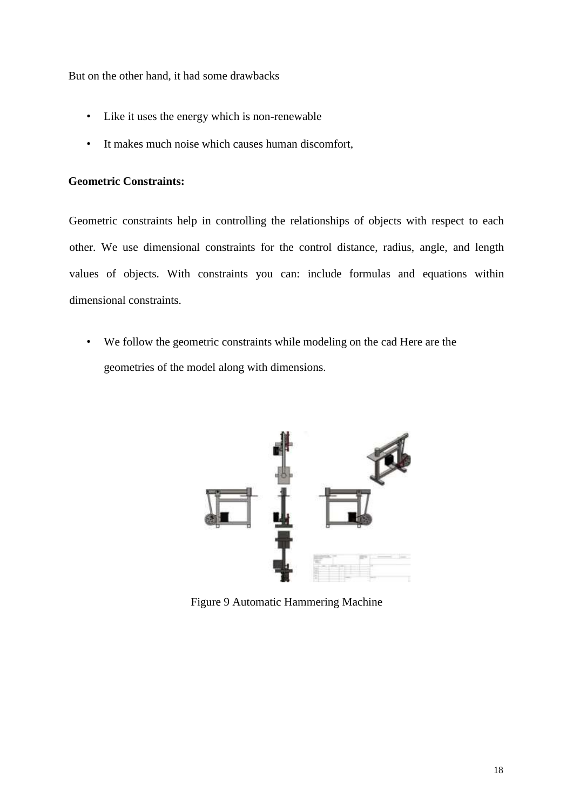But on the other hand, it had some drawbacks

- Like it uses the energy which is non-renewable
- It makes much noise which causes human discomfort,

#### **Geometric Constraints:**

Geometric constraints help in controlling the relationships of objects with respect to each other. We use dimensional constraints for the control distance, radius, angle, and length values of objects. With constraints you can: include formulas and equations within dimensional constraints.

• We follow the geometric constraints while modeling on the cad Here are the geometries of the model along with dimensions.



Figure 9 Automatic Hammering Machine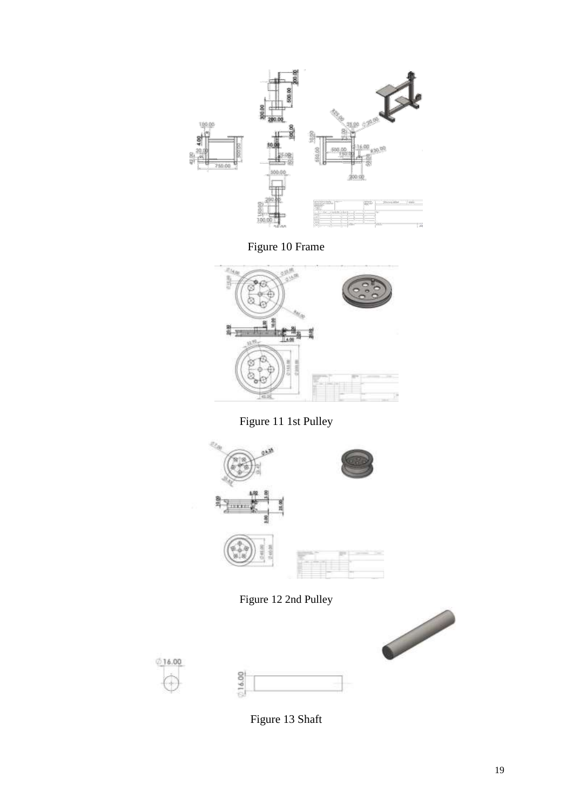

Figure 10 Frame



Figure 11 1st Pulley



Figure 12 2nd Pulley







Figure 13 Shaft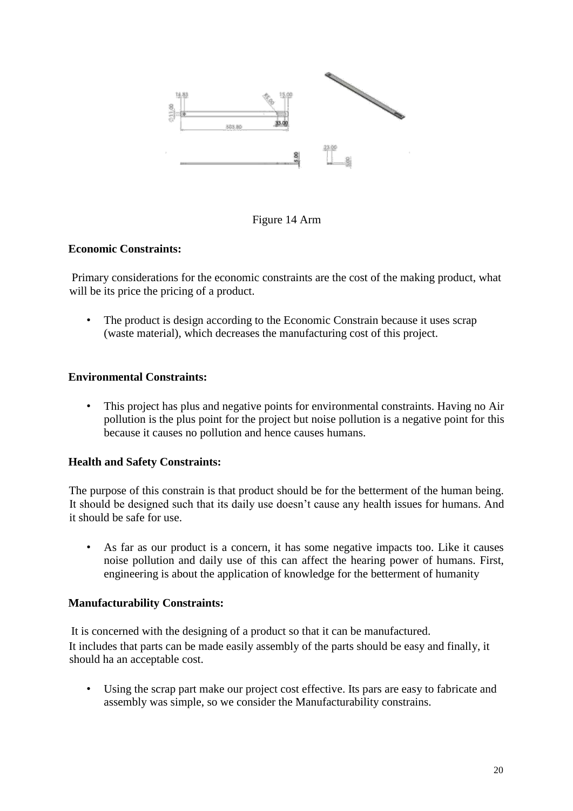

#### Figure 14 Arm

#### **Economic Constraints:**

Primary considerations for the economic constraints are the cost of the making product, what will be its price the pricing of a product.

• The product is design according to the Economic Constrain because it uses scrap (waste material), which decreases the manufacturing cost of this project.

#### **Environmental Constraints:**

• This project has plus and negative points for environmental constraints. Having no Air pollution is the plus point for the project but noise pollution is a negative point for this because it causes no pollution and hence causes humans.

#### **Health and Safety Constraints:**

The purpose of this constrain is that product should be for the betterment of the human being. It should be designed such that its daily use doesn't cause any health issues for humans. And it should be safe for use.

• As far as our product is a concern, it has some negative impacts too. Like it causes noise pollution and daily use of this can affect the hearing power of humans. First, engineering is about the application of knowledge for the betterment of humanity

#### **Manufacturability Constraints:**

It is concerned with the designing of a product so that it can be manufactured. It includes that parts can be made easily assembly of the parts should be easy and finally, it should ha an acceptable cost.

• Using the scrap part make our project cost effective. Its pars are easy to fabricate and assembly was simple, so we consider the Manufacturability constrains.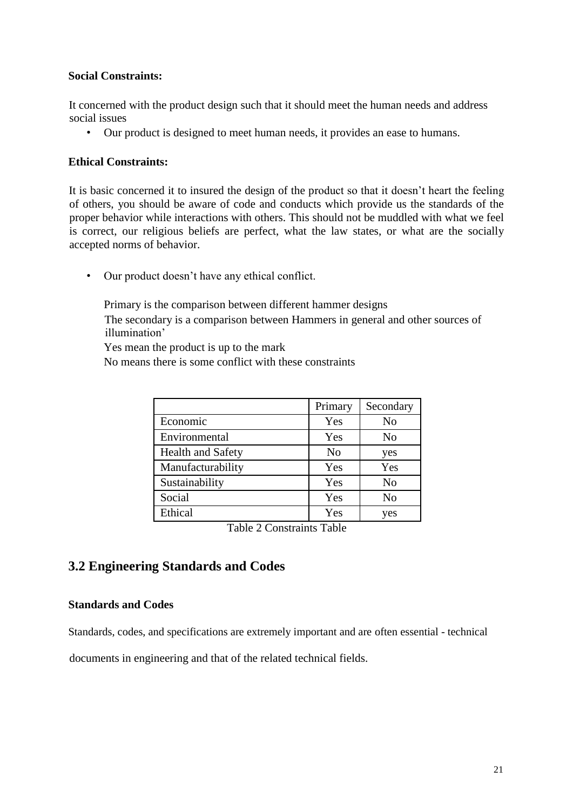#### <span id="page-20-0"></span>**Social Constraints:**

It concerned with the product design such that it should meet the human needs and address social issues

• Our product is designed to meet human needs, it provides an ease to humans.

#### **Ethical Constraints:**

It is basic concerned it to insured the design of the product so that it doesn't heart the feeling of others, you should be aware of code and conducts which provide us the standards of the proper behavior while interactions with others. This should not be muddled with what we feel is correct, our religious beliefs are perfect, what the law states, or what are the socially accepted norms of behavior.

• Our product doesn't have any ethical conflict.

Primary is the comparison between different hammer designs

The secondary is a comparison between Hammers in general and other sources of illumination'

Yes mean the product is up to the mark

No means there is some conflict with these constraints

|                          | Primary        | Secondary      |
|--------------------------|----------------|----------------|
| Economic                 | Yes            | No             |
| Environmental            | Yes            | N <sub>o</sub> |
| <b>Health and Safety</b> | N <sub>0</sub> | yes            |
| Manufacturability        | Yes            | Yes            |
| Sustainability           | Yes            | No             |
| Social                   | Yes            | N <sub>o</sub> |
| Ethical                  | Yes            | yes            |

Table 2 Constraints Table

## **3.2 Engineering Standards and Codes**

#### **Standards and Codes**

Standards, codes, and specifications are extremely important and are often essential - technical

documents in engineering and that of the related technical fields.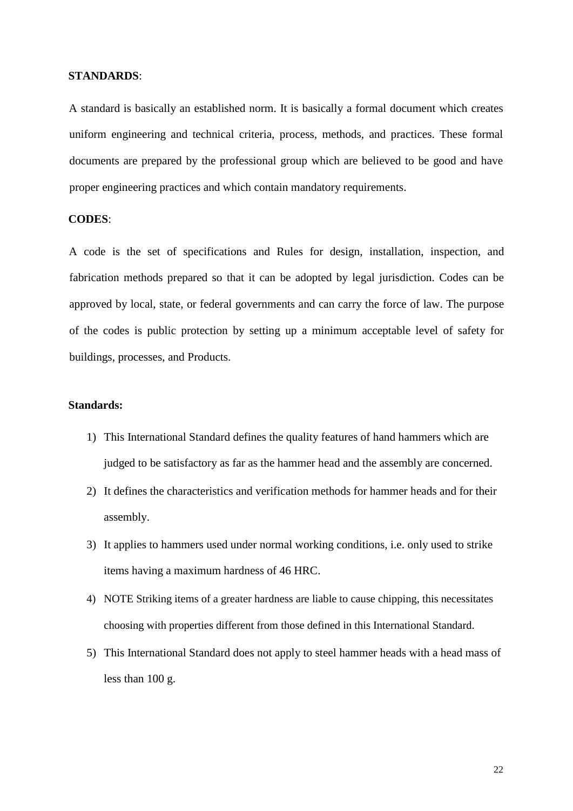#### **STANDARDS**:

A standard is basically an established norm. It is basically a formal document which creates uniform engineering and technical criteria, process, methods, and practices. These formal documents are prepared by the professional group which are believed to be good and have proper engineering practices and which contain mandatory requirements.

#### **CODES**:

A code is the set of specifications and Rules for design, installation, inspection, and fabrication methods prepared so that it can be adopted by legal jurisdiction. Codes can be approved by local, state, or federal governments and can carry the force of law. The purpose of the codes is public protection by setting up a minimum acceptable level of safety for buildings, processes, and Products.

#### **Standards:**

- 1) This International Standard defines the quality features of hand hammers which are judged to be satisfactory as far as the hammer head and the assembly are concerned.
- 2) It defines the characteristics and verification methods for hammer heads and for their assembly.
- 3) It applies to hammers used under normal working conditions, i.e. only used to strike items having a maximum hardness of 46 HRC.
- 4) NOTE Striking items of a greater hardness are liable to cause chipping, this necessitates choosing with properties different from those defined in this International Standard.
- 5) This International Standard does not apply to steel hammer heads with a head mass of less than 100 g.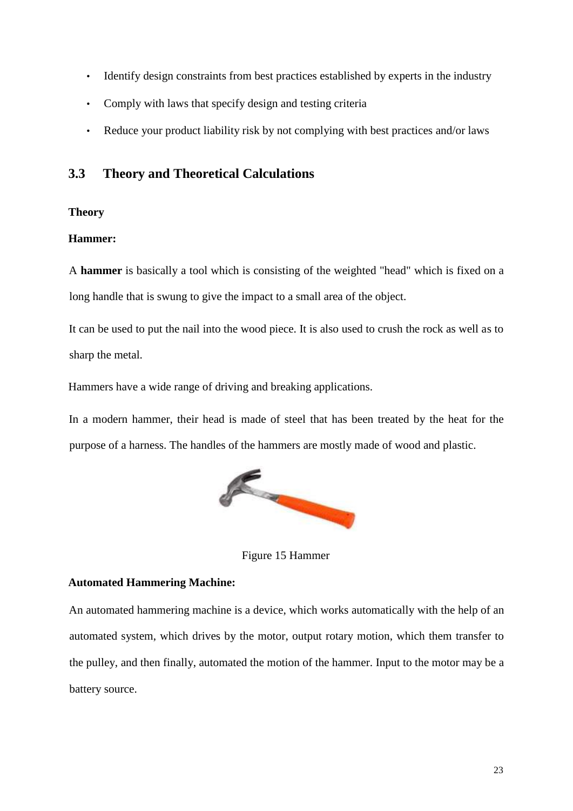- <span id="page-22-0"></span>• Identify design constraints from best practices established by experts in the industry
- Comply with laws that specify design and testing criteria
- Reduce your product liability risk by not complying with best practices and/or laws

## **3.3 Theory and Theoretical Calculations**

#### **Theory**

#### **Hammer:**

A **hammer** is basically a tool which is consisting of the weighted "head" which is fixed on a long handle that is swung to give the impact to a small area of the object.

It can be used to put the nail into the wood piece. It is also used to crush the rock as well as to sharp the metal.

Hammers have a wide range of driving and breaking applications.

In a modern hammer, their head is made of steel that has been treated by the heat for the purpose of a harness. The handles of the hammers are mostly made of wood and plastic.



Figure 15 Hammer

#### **Automated Hammering Machine:**

An automated hammering machine is a device, which works automatically with the help of an automated system, which drives by the motor, output rotary motion, which them transfer to the pulley, and then finally, automated the motion of the hammer. Input to the motor may be a battery source.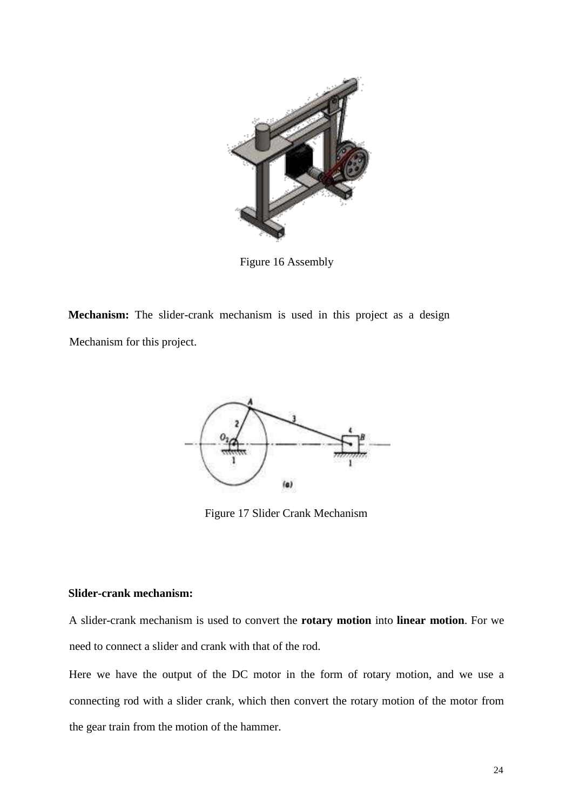

Figure 16 Assembly

**Mechanism:** The slider-crank mechanism is used in this project as a design Mechanism for this project.



Figure 17 Slider Crank Mechanism

#### **Slider-crank mechanism:**

A slider-crank mechanism is used to convert the **rotary motion** into **linear motion**. For we need to connect a slider and crank with that of the rod.

Here we have the output of the DC motor in the form of rotary motion, and we use a connecting rod with a slider crank, which then convert the rotary motion of the motor from the gear train from the motion of the hammer.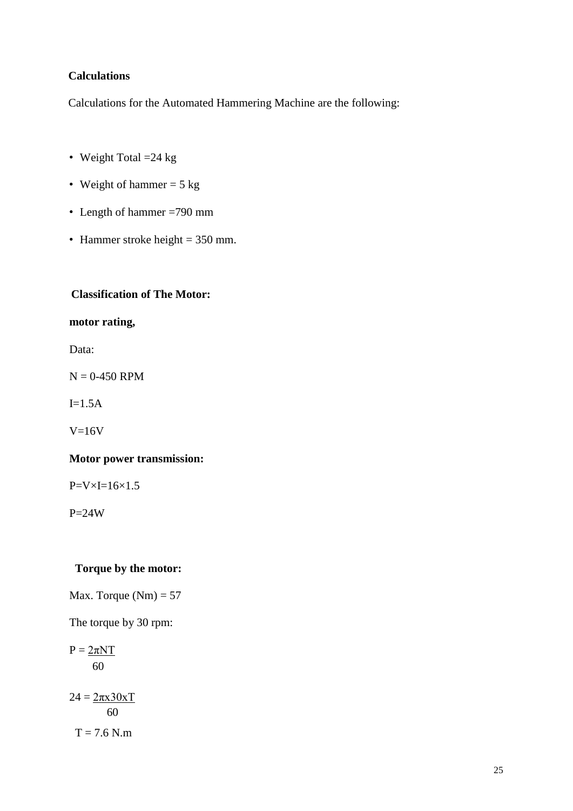#### **Calculations**

Calculations for the Automated Hammering Machine are the following:

- Weight Total  $=24$  kg
- Weight of hammer  $= 5$  kg
- Length of hammer =790 mm
- Hammer stroke height  $= 350$  mm.

#### **Classification of The Motor:**

#### **motor rating,**

Data:

 $N = 0-450$  RPM

 $I=1.5A$ 

 $V=16V$ 

#### **Motor power transmission:**

 $P=V\times I=16\times1.5$ 

 $P=24W$ 

#### **Torque by the motor:**

Max. Torque  $(Nm) = 57$ 

The torque by 30 rpm:

 $P = 2\pi NT$ 60

 $24 = 2\pi x 30xT$ 60  $T = 7.6$  N.m.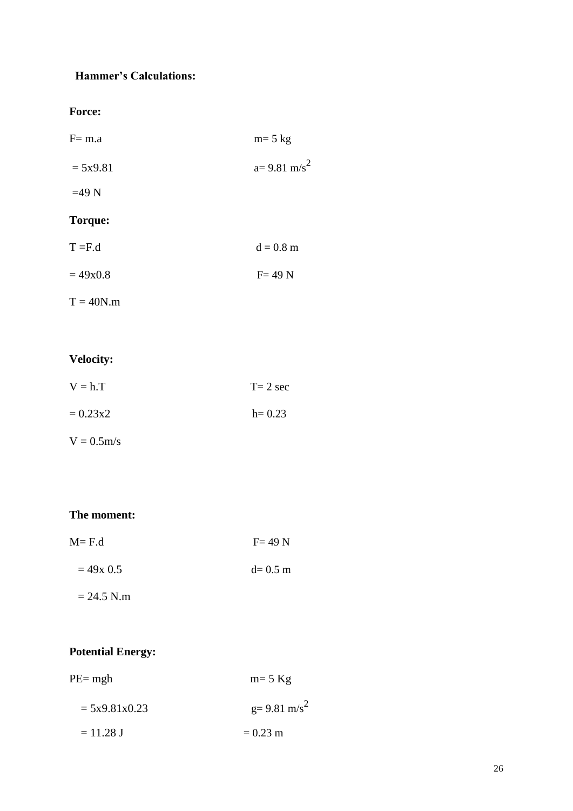## **Hammer's Calculations:**

**Force:**

| $F = m.a$      | $m=5$ kg               |
|----------------|------------------------|
| $= 5x9.81$     | $a=9.81 \text{ m/s}^2$ |
| $=49$ N        |                        |
| <b>Torque:</b> |                        |
| $T = F.d$      | $d = 0.8$ m            |
| $= 49x0.8$     | $F = 49 N$             |
| $T = 40N.m$    |                        |

## **Velocity:**

| $V = h.T$  | $T = 2$ sec |
|------------|-------------|
| $= 0.23x2$ | $h = 0.23$  |

 $V = 0.5$ m/s

## **The moment:**

| $M = F.d$ | $F = 49 N$ |
|-----------|------------|
|           |            |

| $= 49x$ 0.5 | $d = 0.5$ m |
|-------------|-------------|
|             |             |

 $= 24.5$  N.m

### **Potential Energy:**

| $PE=$ mgh       | $m=5$ Kg                    |  |
|-----------------|-----------------------------|--|
| $= 5x9.81x0.23$ | $g = 9.81$ m/s <sup>2</sup> |  |
| $= 11.28$ J     | $= 0.23$ m                  |  |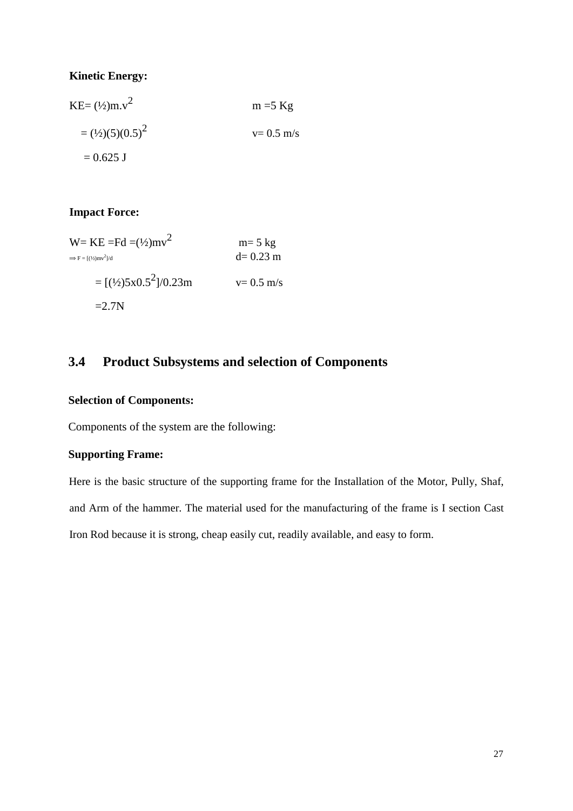#### <span id="page-26-0"></span>**Kinetic Energy:**

| $KE = (\frac{1}{2})m.v^2$  | $m = 5$ Kg    |
|----------------------------|---------------|
| $=(\frac{1}{2})(5)(0.5)^2$ | $v = 0.5$ m/s |
| $= 0.625$ J                |               |

#### **Impact Force:**

| $W=KE = Fd = (1/2)mv^2$<br>$\Rightarrow$ F = $\left[\frac{1}{2}\right]$ mv <sup>2</sup> $\left $ /d | $m=5$ kg<br>$d=0.23$ m |
|-----------------------------------------------------------------------------------------------------|------------------------|
| $=[\frac{1}{2}5x0.5^2]}/0.23m$                                                                      | $v = 0.5$ m/s          |
| $=2.7N$                                                                                             |                        |

## **3.4 Product Subsystems and selection of Components**

### **Selection of Components:**

Components of the system are the following:

#### **Supporting Frame:**

Here is the basic structure of the supporting frame for the Installation of the Motor, Pully, Shaf, and Arm of the hammer. The material used for the manufacturing of the frame is I section Cast Iron Rod because it is strong, cheap easily cut, readily available, and easy to form.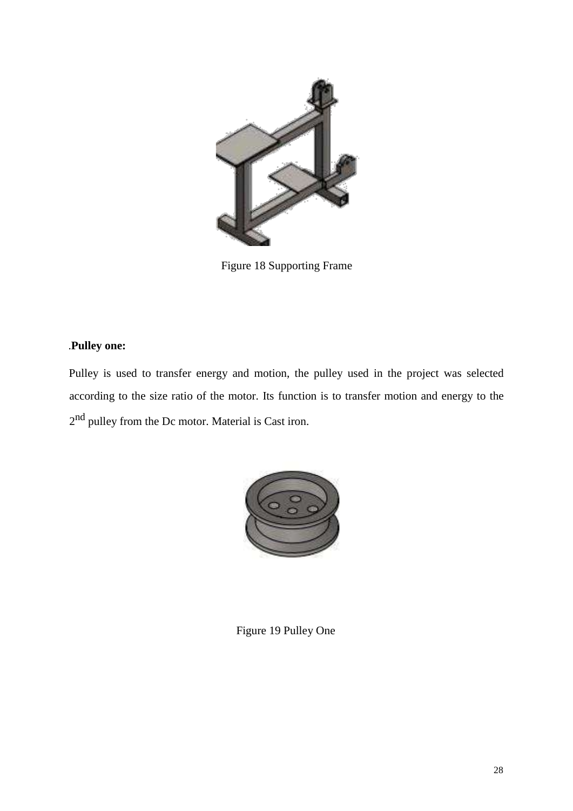

Figure 18 Supporting Frame

### .**Pulley one:**

Pulley is used to transfer energy and motion, the pulley used in the project was selected according to the size ratio of the motor. Its function is to transfer motion and energy to the 2<sup>nd</sup> pulley from the Dc motor. Material is Cast iron.



Figure 19 Pulley One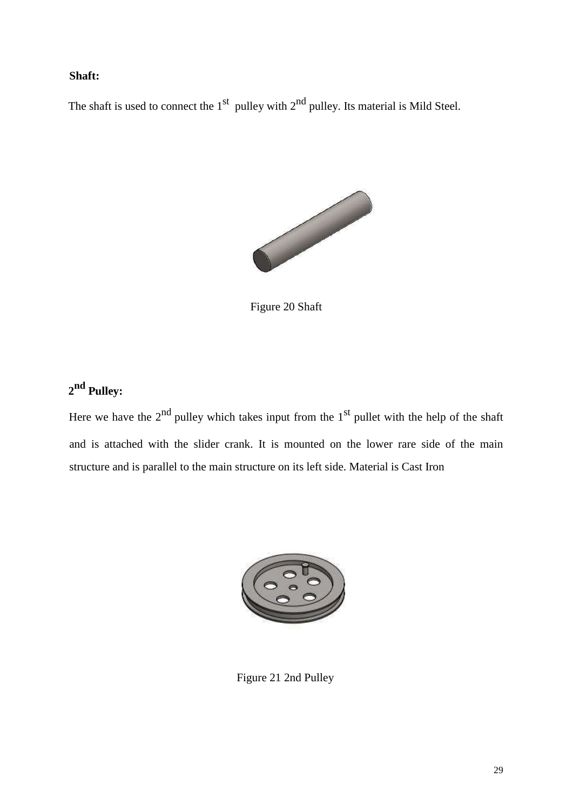#### **Shaft:**

The shaft is used to connect the  $1<sup>st</sup>$  pulley with  $2<sup>nd</sup>$  pulley. Its material is Mild Steel.



Figure 20 Shaft

## **2 nd Pulley:**

Here we have the  $2<sup>nd</sup>$  pulley which takes input from the  $1<sup>st</sup>$  pullet with the help of the shaft and is attached with the slider crank. It is mounted on the lower rare side of the main structure and is parallel to the main structure on its left side. Material is Cast Iron



Figure 21 2nd Pulley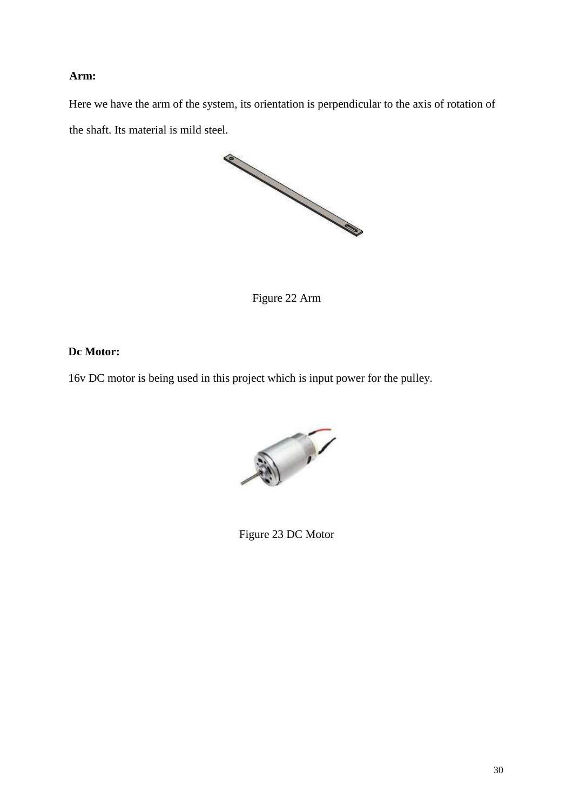#### **Arm:**

Here we have the arm of the system, its orientation is perpendicular to the axis of rotation of the shaft. Its material is mild steel.



Figure 22 Arm

#### **Dc Motor:**

16v DC motor is being used in this project which is input power for the pulley.



Figure 23 DC Motor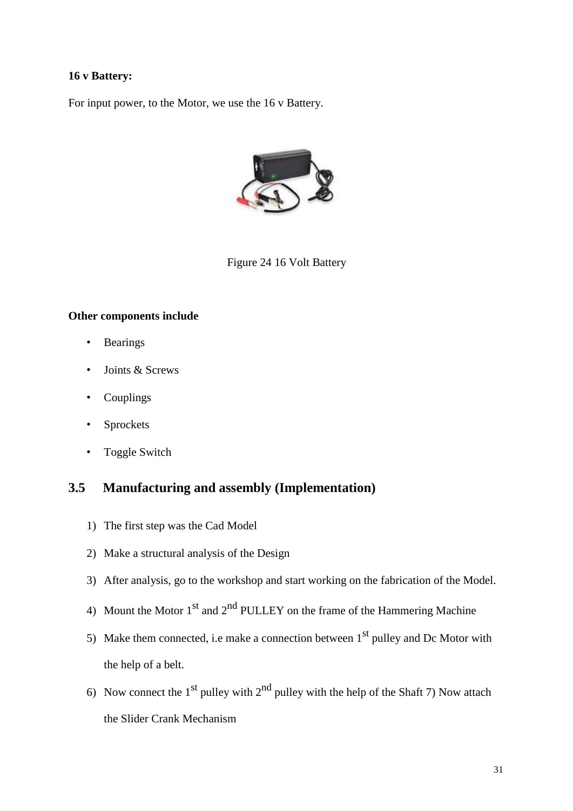#### <span id="page-30-0"></span>**16 v Battery:**

For input power, to the Motor, we use the 16 v Battery.



Figure 24 16 Volt Battery

#### **Other components include**

- Bearings
- Joints & Screws
- Couplings
- Sprockets
- Toggle Switch

### **3.5 Manufacturing and assembly (Implementation)**

- 1) The first step was the Cad Model
- 2) Make a structural analysis of the Design
- 3) After analysis, go to the workshop and start working on the fabrication of the Model.
- 4) Mount the Motor  $1<sup>st</sup>$  and  $2<sup>nd</sup>$  PULLEY on the frame of the Hammering Machine
- 5) Make them connected, i.e make a connection between  $1<sup>st</sup>$  pulley and Dc Motor with the help of a belt.
- 6) Now connect the 1<sup>st</sup> pulley with  $2<sup>nd</sup>$  pulley with the help of the Shaft 7) Now attach the Slider Crank Mechanism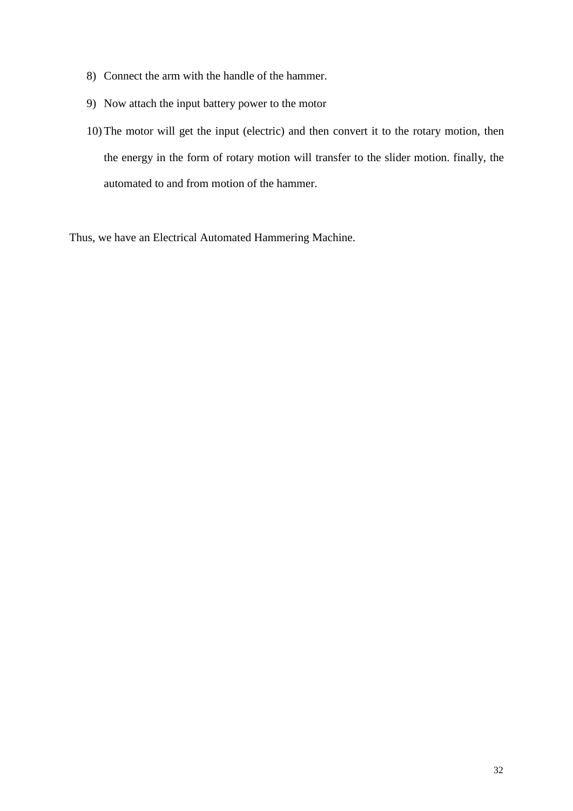- 8) Connect the arm with the handle of the hammer.
- 9) Now attach the input battery power to the motor
- 10) The motor will get the input (electric) and then convert it to the rotary motion, then the energy in the form of rotary motion will transfer to the slider motion. finally, the automated to and from motion of the hammer.

Thus, we have an Electrical Automated Hammering Machine.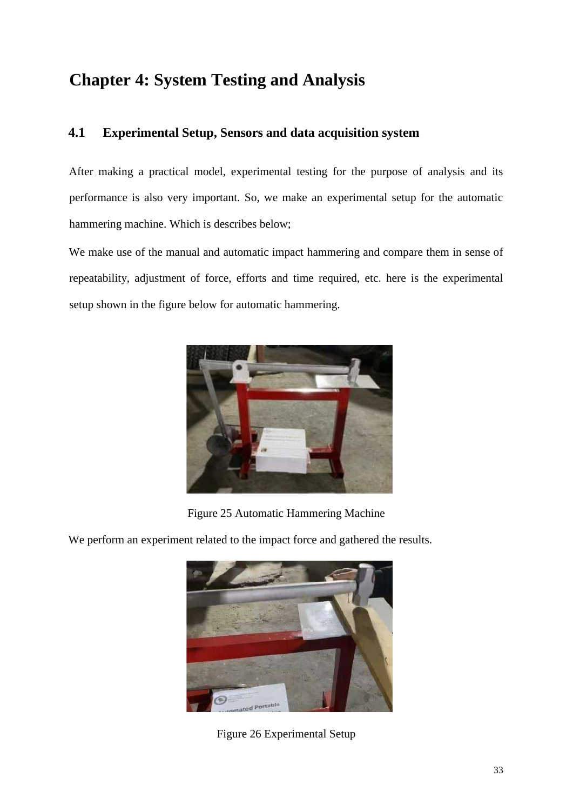## <span id="page-32-0"></span>**Chapter 4: System Testing and Analysis**

## **4.1 Experimental Setup, Sensors and data acquisition system**

After making a practical model, experimental testing for the purpose of analysis and its performance is also very important. So, we make an experimental setup for the automatic hammering machine. Which is describes below;

We make use of the manual and automatic impact hammering and compare them in sense of repeatability, adjustment of force, efforts and time required, etc. here is the experimental setup shown in the figure below for automatic hammering.



Figure 25 Automatic Hammering Machine

We perform an experiment related to the impact force and gathered the results.



Figure 26 Experimental Setup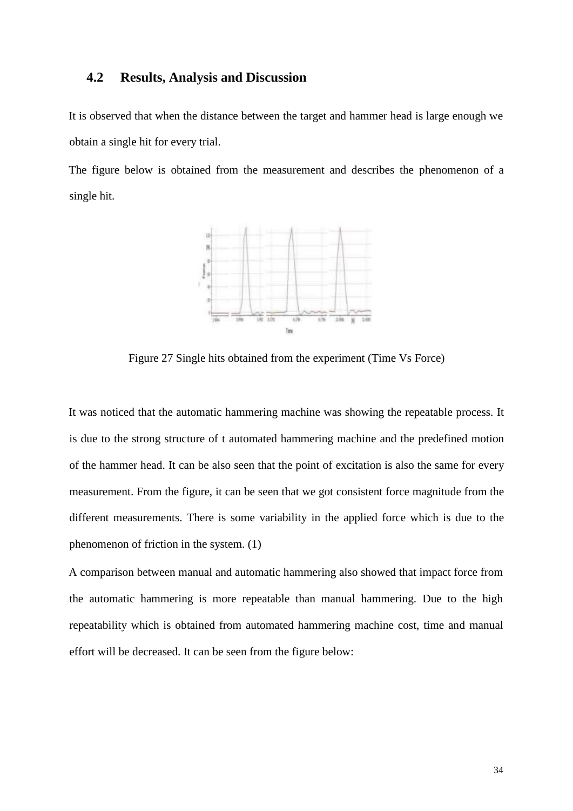#### <span id="page-33-0"></span>**4.2 Results, Analysis and Discussion**

It is observed that when the distance between the target and hammer head is large enough we obtain a single hit for every trial.

The figure below is obtained from the measurement and describes the phenomenon of a single hit.



Figure 27 Single hits obtained from the experiment (Time Vs Force)

It was noticed that the automatic hammering machine was showing the repeatable process. It is due to the strong structure of t automated hammering machine and the predefined motion of the hammer head. It can be also seen that the point of excitation is also the same for every measurement. From the figure, it can be seen that we got consistent force magnitude from the different measurements. There is some variability in the applied force which is due to the phenomenon of friction in the system. (1)

A comparison between manual and automatic hammering also showed that impact force from the automatic hammering is more repeatable than manual hammering. Due to the high repeatability which is obtained from automated hammering machine cost, time and manual effort will be decreased. It can be seen from the figure below: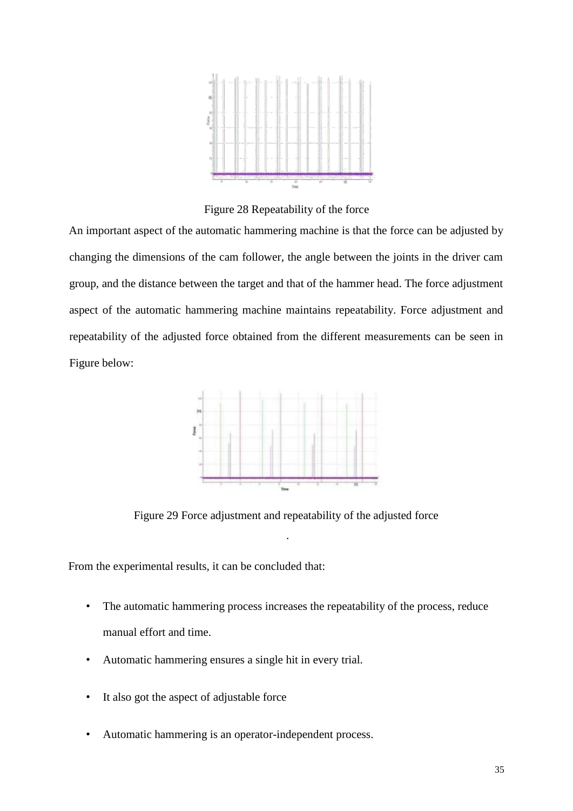

Figure 28 Repeatability of the force

An important aspect of the automatic hammering machine is that the force can be adjusted by changing the dimensions of the cam follower, the angle between the joints in the driver cam group, and the distance between the target and that of the hammer head. The force adjustment aspect of the automatic hammering machine maintains repeatability. Force adjustment and repeatability of the adjusted force obtained from the different measurements can be seen in Figure below:



Figure 29 Force adjustment and repeatability of the adjusted force

.

From the experimental results, it can be concluded that:

- The automatic hammering process increases the repeatability of the process, reduce manual effort and time.
- Automatic hammering ensures a single hit in every trial.
- It also got the aspect of adjustable force
- Automatic hammering is an operator-independent process.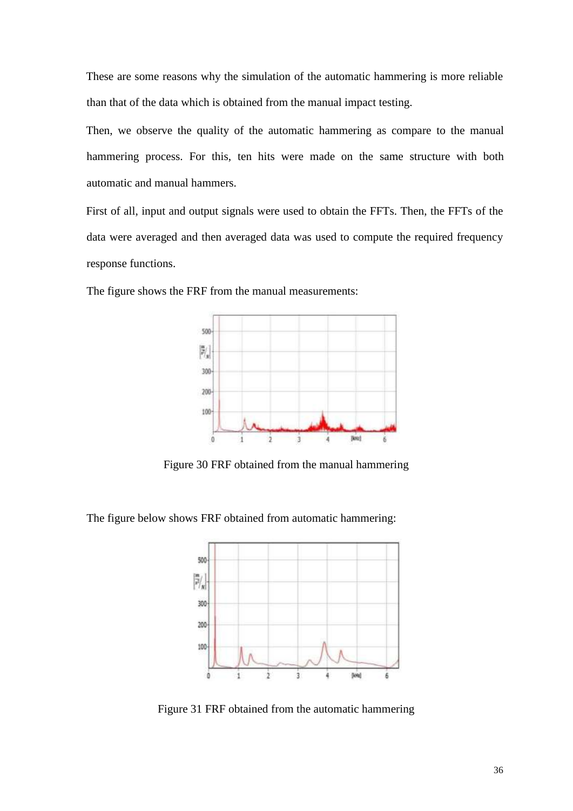These are some reasons why the simulation of the automatic hammering is more reliable than that of the data which is obtained from the manual impact testing.

Then, we observe the quality of the automatic hammering as compare to the manual hammering process. For this, ten hits were made on the same structure with both automatic and manual hammers.

First of all, input and output signals were used to obtain the FFTs. Then, the FFTs of the data were averaged and then averaged data was used to compute the required frequency response functions.



The figure shows the FRF from the manual measurements:

Figure 30 FRF obtained from the manual hammering

The figure below shows FRF obtained from automatic hammering:



Figure 31 FRF obtained from the automatic hammering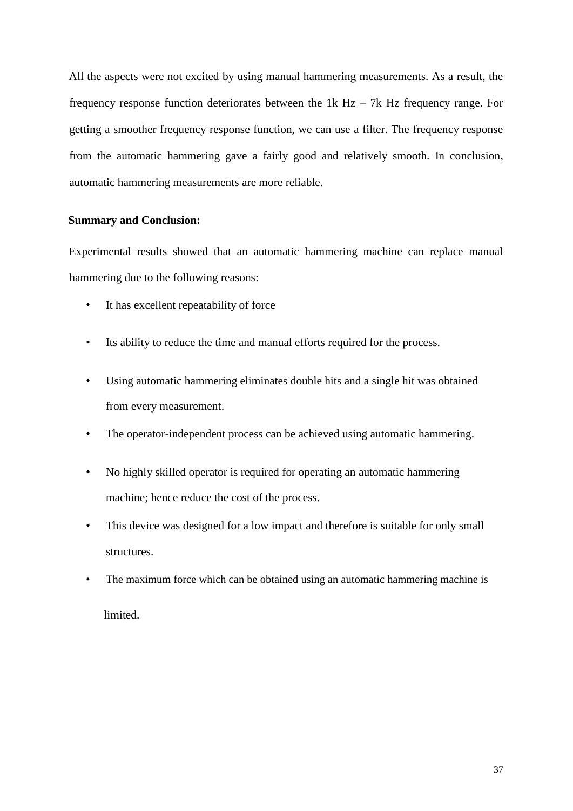All the aspects were not excited by using manual hammering measurements. As a result, the frequency response function deteriorates between the  $1k$  Hz – 7k Hz frequency range. For getting a smoother frequency response function, we can use a filter. The frequency response from the automatic hammering gave a fairly good and relatively smooth. In conclusion, automatic hammering measurements are more reliable.

#### **Summary and Conclusion:**

Experimental results showed that an automatic hammering machine can replace manual hammering due to the following reasons:

- It has excellent repeatability of force
- Its ability to reduce the time and manual efforts required for the process.
- Using automatic hammering eliminates double hits and a single hit was obtained from every measurement.
- The operator-independent process can be achieved using automatic hammering.
- No highly skilled operator is required for operating an automatic hammering machine; hence reduce the cost of the process.
- This device was designed for a low impact and therefore is suitable for only small structures.
- The maximum force which can be obtained using an automatic hammering machine is

limited.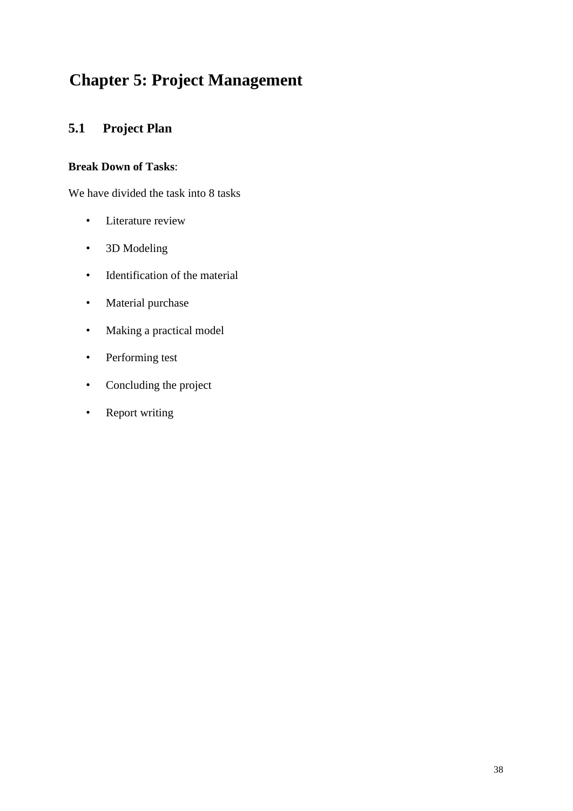## <span id="page-37-0"></span>**Chapter 5: Project Management**

## **5.1 Project Plan**

### **Break Down of Tasks**:

We have divided the task into 8 tasks

- Literature review
- 3D Modeling
- Identification of the material
- Material purchase
- Making a practical model
- Performing test
- Concluding the project
- Report writing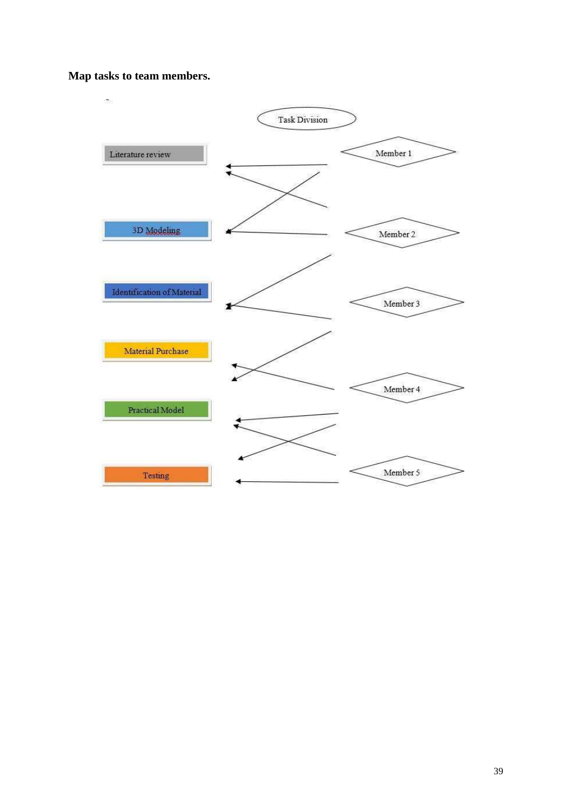#### **Map tasks to team members.**

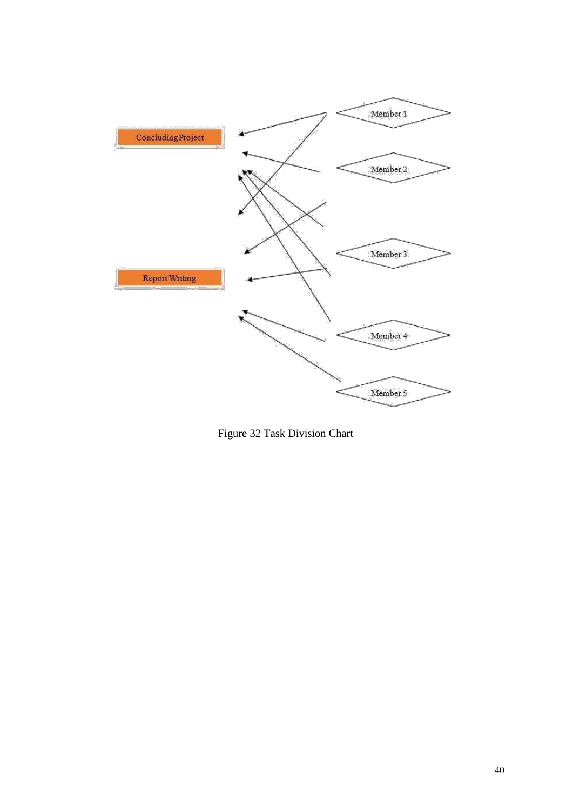

Figure 32 Task Division Chart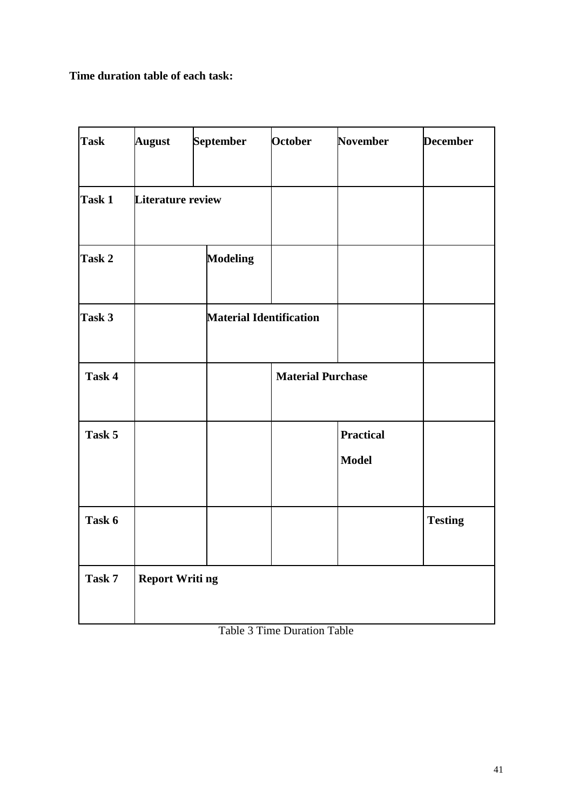**Time duration table of each task:**

| <b>Task</b> | <b>August</b>            | <b>September</b> | <b>October</b>                 | <b>November</b>                  | <b>December</b> |
|-------------|--------------------------|------------------|--------------------------------|----------------------------------|-----------------|
| Task 1      | <b>Literature review</b> |                  |                                |                                  |                 |
| Task 2      |                          | <b>Modeling</b>  |                                |                                  |                 |
| Task 3      |                          |                  | <b>Material Identification</b> |                                  |                 |
| Task 4      |                          |                  | <b>Material Purchase</b>       |                                  |                 |
| Task 5      |                          |                  |                                | <b>Practical</b><br><b>Model</b> |                 |
| Task 6      |                          |                  |                                |                                  | <b>Testing</b>  |
| Task 7      | <b>Report Writing</b>    |                  |                                |                                  |                 |

|  | <b>Table 3 Time Duration Table</b> |  |
|--|------------------------------------|--|
|  |                                    |  |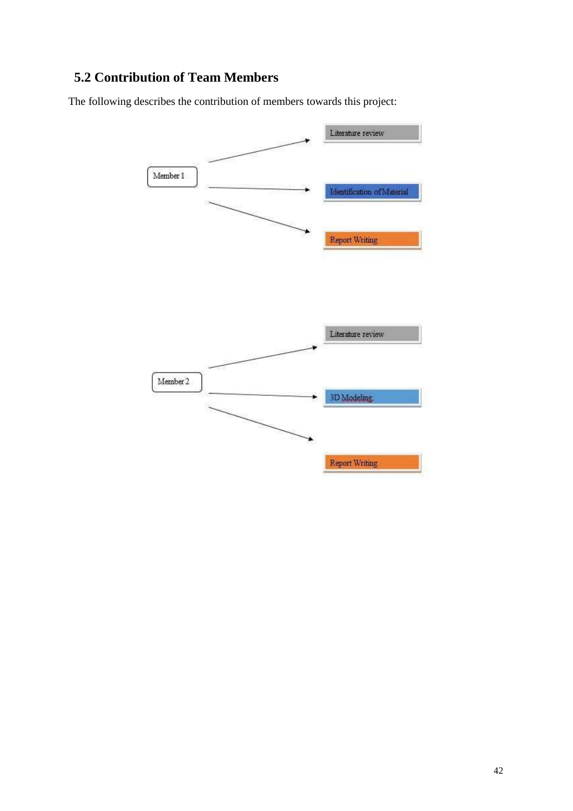## <span id="page-41-0"></span>**5.2 Contribution of Team Members**

The following describes the contribution of members towards this project:

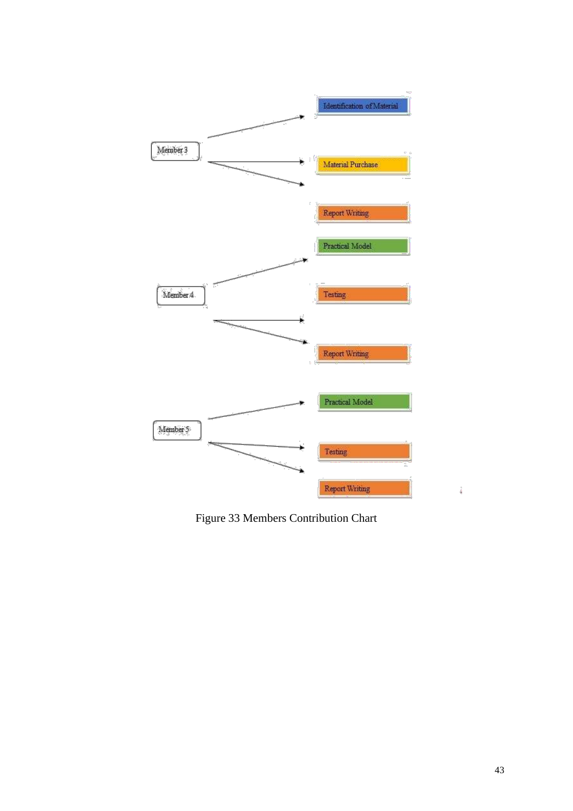

Figure 33 Members Contribution Chart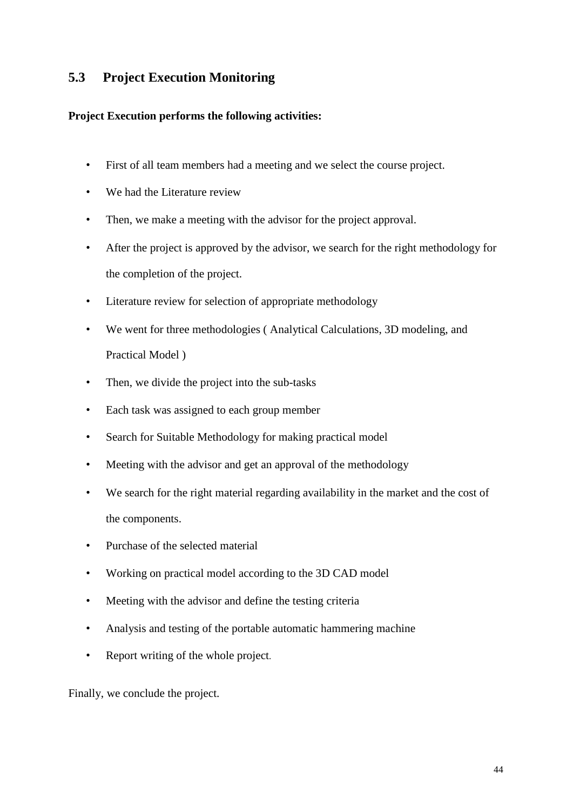## <span id="page-43-0"></span>**5.3 Project Execution Monitoring**

#### **Project Execution performs the following activities:**

- First of all team members had a meeting and we select the course project.
- We had the Literature review
- Then, we make a meeting with the advisor for the project approval.
- After the project is approved by the advisor, we search for the right methodology for the completion of the project.
- Literature review for selection of appropriate methodology
- We went for three methodologies ( Analytical Calculations, 3D modeling, and Practical Model )
- Then, we divide the project into the sub-tasks
- Each task was assigned to each group member
- Search for Suitable Methodology for making practical model
- Meeting with the advisor and get an approval of the methodology
- We search for the right material regarding availability in the market and the cost of the components.
- Purchase of the selected material
- Working on practical model according to the 3D CAD model
- Meeting with the advisor and define the testing criteria
- Analysis and testing of the portable automatic hammering machine
- Report writing of the whole project.

Finally, we conclude the project.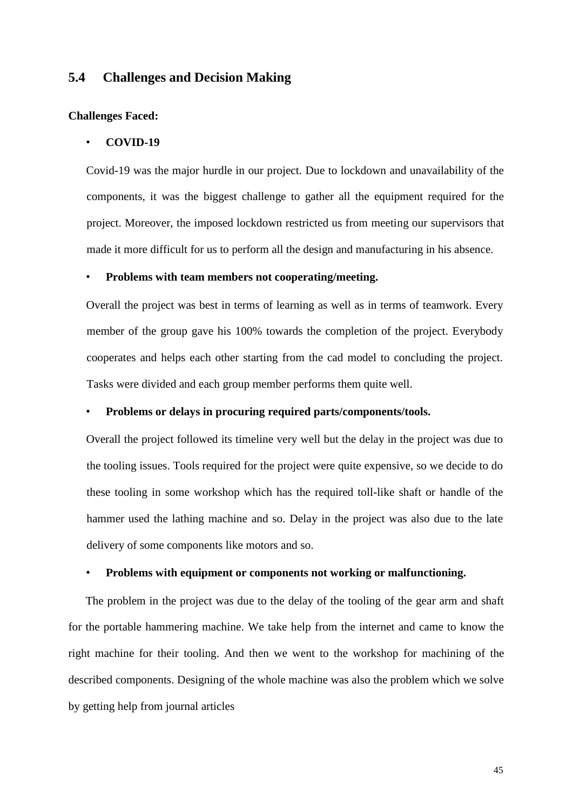#### <span id="page-44-0"></span>**5.4 Challenges and Decision Making**

#### **Challenges Faced:**

#### • **COVID-19**

Covid-19 was the major hurdle in our project. Due to lockdown and unavailability of the components, it was the biggest challenge to gather all the equipment required for the project. Moreover, the imposed lockdown restricted us from meeting our supervisors that made it more difficult for us to perform all the design and manufacturing in his absence.

#### • **Problems with team members not cooperating/meeting.**

Overall the project was best in terms of learning as well as in terms of teamwork. Every member of the group gave his 100% towards the completion of the project. Everybody cooperates and helps each other starting from the cad model to concluding the project. Tasks were divided and each group member performs them quite well.

#### • **Problems or delays in procuring required parts/components/tools.**

Overall the project followed its timeline very well but the delay in the project was due to the tooling issues. Tools required for the project were quite expensive, so we decide to do these tooling in some workshop which has the required toll-like shaft or handle of the hammer used the lathing machine and so. Delay in the project was also due to the late delivery of some components like motors and so.

#### • **Problems with equipment or components not working or malfunctioning.**

The problem in the project was due to the delay of the tooling of the gear arm and shaft for the portable hammering machine. We take help from the internet and came to know the right machine for their tooling. And then we went to the workshop for machining of the described components. Designing of the whole machine was also the problem which we solve by getting help from journal articles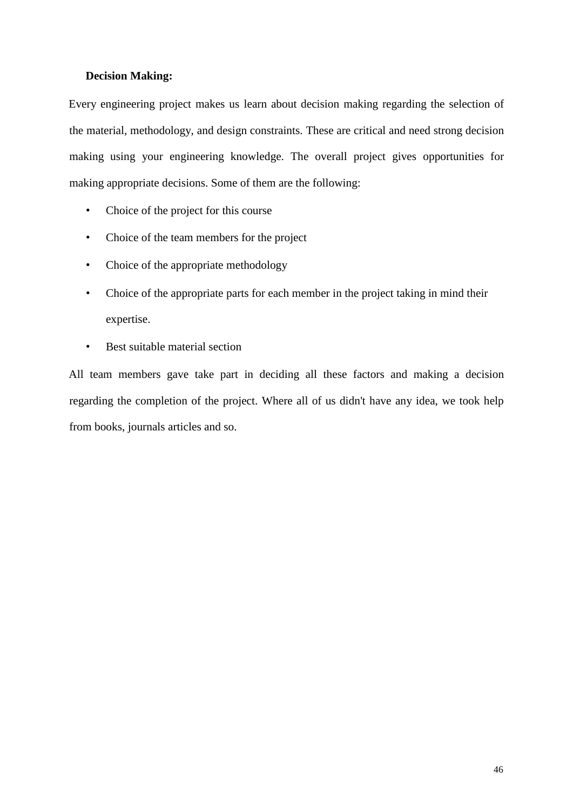#### **Decision Making:**

Every engineering project makes us learn about decision making regarding the selection of the material, methodology, and design constraints. These are critical and need strong decision making using your engineering knowledge. The overall project gives opportunities for making appropriate decisions. Some of them are the following:

- Choice of the project for this course
- Choice of the team members for the project
- Choice of the appropriate methodology
- Choice of the appropriate parts for each member in the project taking in mind their expertise.
- Best suitable material section

All team members gave take part in deciding all these factors and making a decision regarding the completion of the project. Where all of us didn't have any idea, we took help from books, journals articles and so.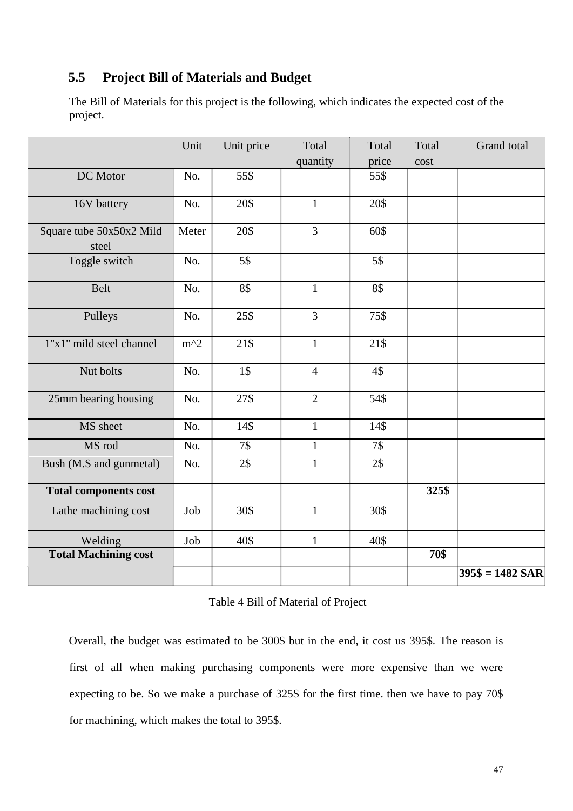## <span id="page-46-0"></span>**5.5 Project Bill of Materials and Budget**

The Bill of Materials for this project is the following, which indicates the expected cost of the project.

|                                   | Unit  | Unit price       | Total          | Total | Total | Grand total       |
|-----------------------------------|-------|------------------|----------------|-------|-------|-------------------|
|                                   |       |                  | quantity       | price | cost  |                   |
| DC Motor                          | No.   | 55\$             |                | 55\$  |       |                   |
| 16V battery                       | No.   | 20\$             | $\mathbf{1}$   | 20\$  |       |                   |
| Square tube 50x50x2 Mild<br>steel | Meter | 20\$             | 3              | 60\$  |       |                   |
| Toggle switch                     | No.   | 5\$              |                | 5\$   |       |                   |
| <b>Belt</b>                       | No.   | 8\$              | $\mathbf{1}$   | 8\$   |       |                   |
| Pulleys                           | No.   | 25\$             | $\overline{3}$ | 75\$  |       |                   |
| 1"x1" mild steel channel          | $m^2$ | 21\$             | $\mathbf{1}$   | 21\$  |       |                   |
| Nut bolts                         | No.   | 1\$              | $\overline{4}$ | 4\$   |       |                   |
| 25mm bearing housing              | No.   | 27\$             | $\overline{2}$ | 54\$  |       |                   |
| MS sheet                          | No.   | 14\$             | $\mathbf{1}$   | 14\$  |       |                   |
| MS rod                            | No.   | $\overline{7\$}$ | $\mathbf{1}$   | 7\$   |       |                   |
| Bush (M.S and gunmetal)           | No.   | 2\$              | $\mathbf{1}$   | 2\$   |       |                   |
| <b>Total components cost</b>      |       |                  |                |       | 325\$ |                   |
| Lathe machining cost              | Job   | 30\$             | $\mathbf{1}$   | 30\$  |       |                   |
| Welding                           | Job   | 40\$             | $\mathbf{1}$   | 40\$  |       |                   |
| <b>Total Machining cost</b>       |       |                  |                |       | 70\$  |                   |
|                                   |       |                  |                |       |       | $395\$ = 1482 SAR |

#### Table 4 Bill of Material of Project

Overall, the budget was estimated to be 300\$ but in the end, it cost us 395\$. The reason is first of all when making purchasing components were more expensive than we were expecting to be. So we make a purchase of 325\$ for the first time. then we have to pay 70\$ for machining, which makes the total to 395\$.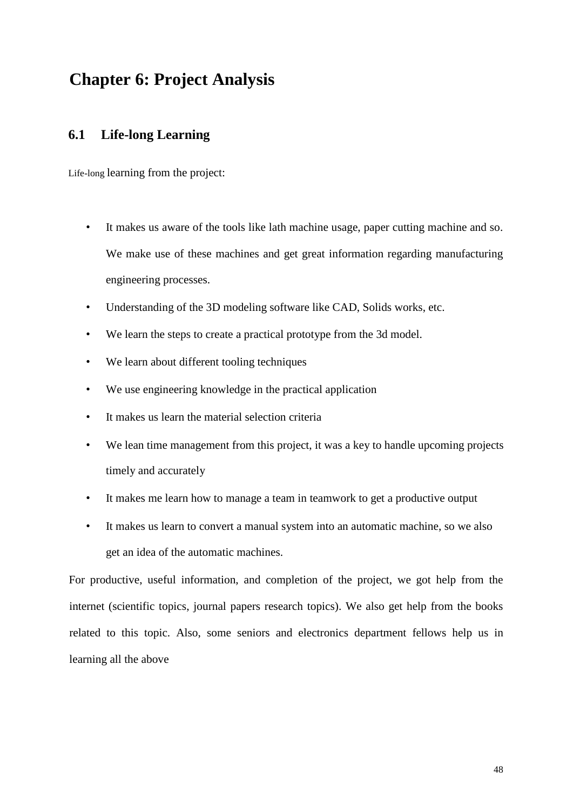## <span id="page-47-0"></span>**Chapter 6: Project Analysis**

## **6.1 Life-long Learning**

Life-long learning from the project:

- It makes us aware of the tools like lath machine usage, paper cutting machine and so. We make use of these machines and get great information regarding manufacturing engineering processes.
- Understanding of the 3D modeling software like CAD, Solids works, etc.
- We learn the steps to create a practical prototype from the 3d model.
- We learn about different tooling techniques
- We use engineering knowledge in the practical application
- It makes us learn the material selection criteria
- We lean time management from this project, it was a key to handle upcoming projects timely and accurately
- It makes me learn how to manage a team in teamwork to get a productive output
- It makes us learn to convert a manual system into an automatic machine, so we also get an idea of the automatic machines.

For productive, useful information, and completion of the project, we got help from the internet (scientific topics, journal papers research topics). We also get help from the books related to this topic. Also, some seniors and electronics department fellows help us in learning all the above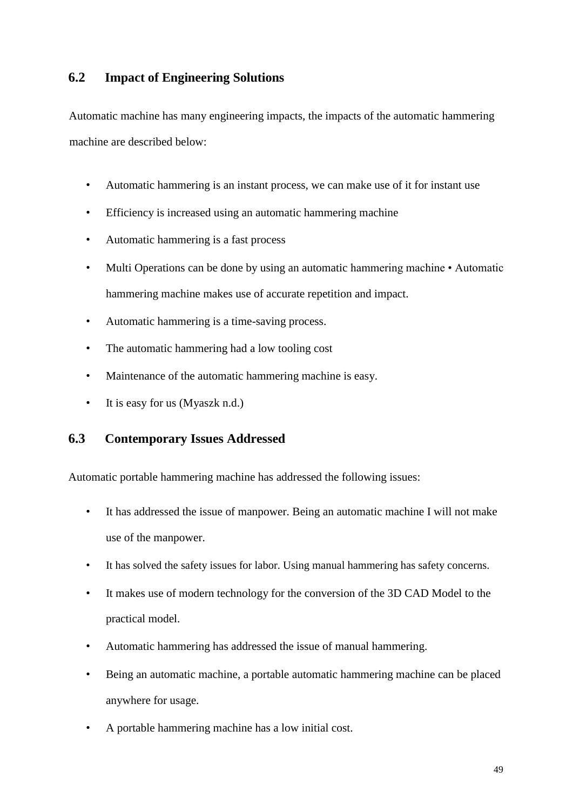### <span id="page-48-0"></span>**6.2 Impact of Engineering Solutions**

Automatic machine has many engineering impacts, the impacts of the automatic hammering machine are described below:

- Automatic hammering is an instant process, we can make use of it for instant use
- Efficiency is increased using an automatic hammering machine
- Automatic hammering is a fast process
- Multi Operations can be done by using an automatic hammering machine Automatic hammering machine makes use of accurate repetition and impact.
- Automatic hammering is a time-saving process.
- The automatic hammering had a low tooling cost
- Maintenance of the automatic hammering machine is easy.
- It is easy for us (Myaszk n.d.)

### **6.3 Contemporary Issues Addressed**

Automatic portable hammering machine has addressed the following issues:

- It has addressed the issue of manpower. Being an automatic machine I will not make use of the manpower.
- It has solved the safety issues for labor. Using manual hammering has safety concerns.
- It makes use of modern technology for the conversion of the 3D CAD Model to the practical model.
- Automatic hammering has addressed the issue of manual hammering.
- Being an automatic machine, a portable automatic hammering machine can be placed anywhere for usage.
- A portable hammering machine has a low initial cost.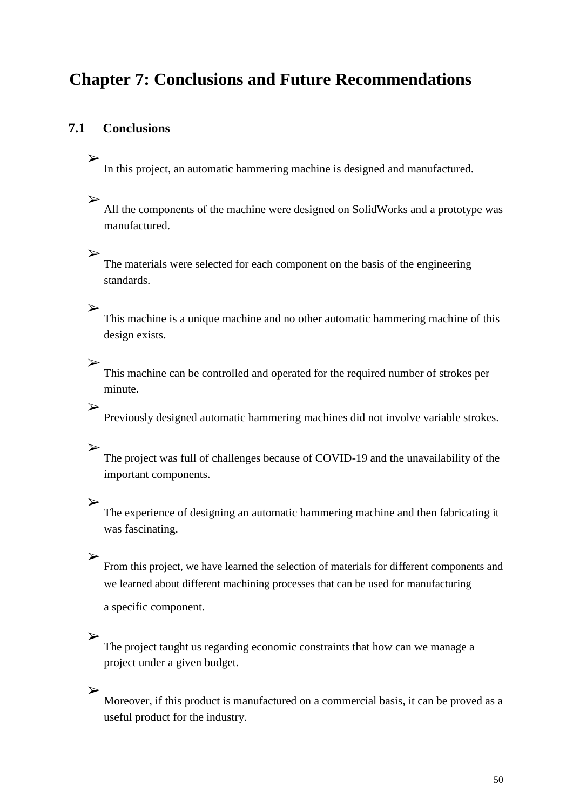## <span id="page-49-0"></span>**Chapter 7: Conclusions and Future Recommendations**

## **7.1 Conclusions**

In this project, an automatic hammering machine is designed and manufactured.

#### ➢

➢

All the components of the machine were designed on SolidWorks and a prototype was manufactured.

### ➢

The materials were selected for each component on the basis of the engineering standards.

### ➢

This machine is a unique machine and no other automatic hammering machine of this design exists.

### ➢

This machine can be controlled and operated for the required number of strokes per minute.

## ➢

Previously designed automatic hammering machines did not involve variable strokes.

#### ➢

The project was full of challenges because of COVID-19 and the unavailability of the important components.

#### ➢

The experience of designing an automatic hammering machine and then fabricating it was fascinating.

## ➢

From this project, we have learned the selection of materials for different components and we learned about different machining processes that can be used for manufacturing

a specific component.

#### ➢

The project taught us regarding economic constraints that how can we manage a project under a given budget.

### ➢

Moreover, if this product is manufactured on a commercial basis, it can be proved as a useful product for the industry.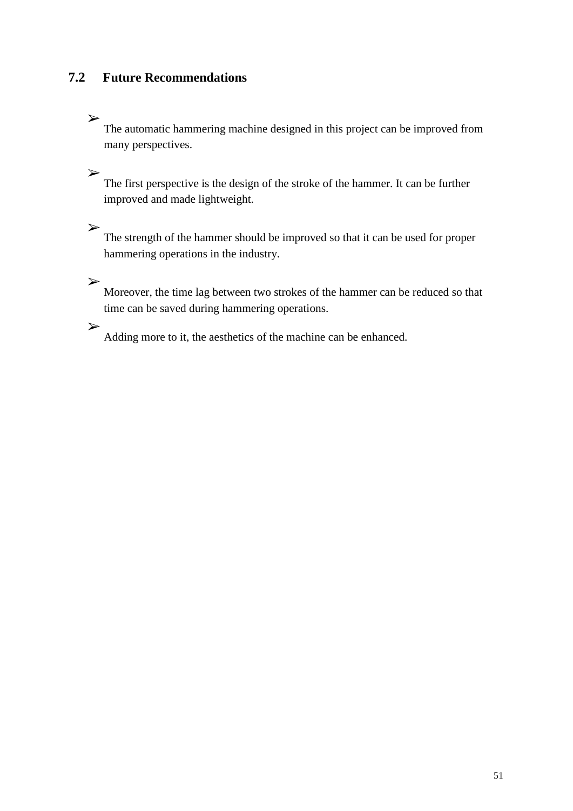## <span id="page-50-0"></span>**7.2 Future Recommendations**

## ➢

The automatic hammering machine designed in this project can be improved from many perspectives.

➢ The first perspective is the design of the stroke of the hammer. It can be further improved and made lightweight.

The strength of the hammer should be improved so that it can be used for proper hammering operations in the industry.

➢

➢

Moreover, the time lag between two strokes of the hammer can be reduced so that time can be saved during hammering operations.

➢

Adding more to it, the aesthetics of the machine can be enhanced.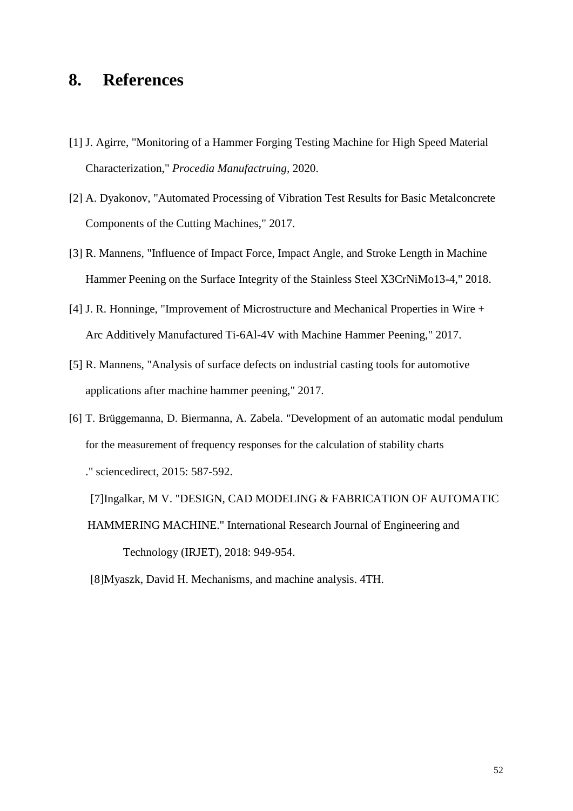## <span id="page-51-0"></span>**8. References**

- [1] J. Agirre, "Monitoring of a Hammer Forging Testing Machine for High Speed Material Characterization," *Procedia Manufactruing,* 2020.
- [2] A. Dyakonov, "Automated Processing of Vibration Test Results for Basic Metalconcrete Components of the Cutting Machines," 2017.
- [3] R. Mannens, "Influence of Impact Force, Impact Angle, and Stroke Length in Machine Hammer Peening on the Surface Integrity of the Stainless Steel X3CrNiMo13-4," 2018.
- [4] J. R. Honninge, "Improvement of Microstructure and Mechanical Properties in Wire + Arc Additively Manufactured Ti-6Al-4V with Machine Hammer Peening," 2017.
- [5] R. Mannens, "Analysis of surface defects on industrial casting tools for automotive applications after machine hammer peening," 2017.
- [6] T. Brüggemanna, D. Biermanna, A. Zabela. "Development of an automatic modal pendulum for the measurement of frequency responses for the calculation of stability charts ." sciencedirect, 2015: 587-592.

[7]Ingalkar, M V. "DESIGN, CAD MODELING & FABRICATION OF AUTOMATIC HAMMERING MACHINE." International Research Journal of Engineering and

Technology (IRJET), 2018: 949-954.

[8]Myaszk, David H. Mechanisms, and machine analysis. 4TH.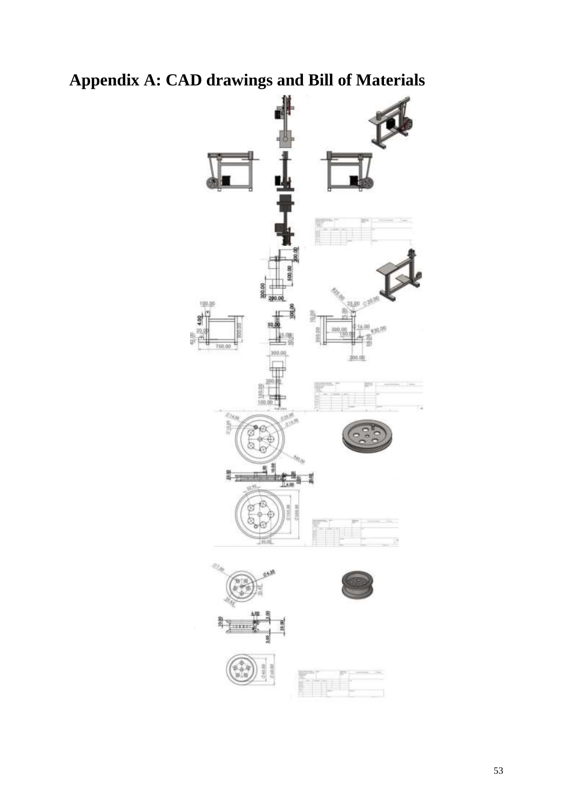

<span id="page-52-0"></span>**Appendix A: CAD drawings and Bill of Materials**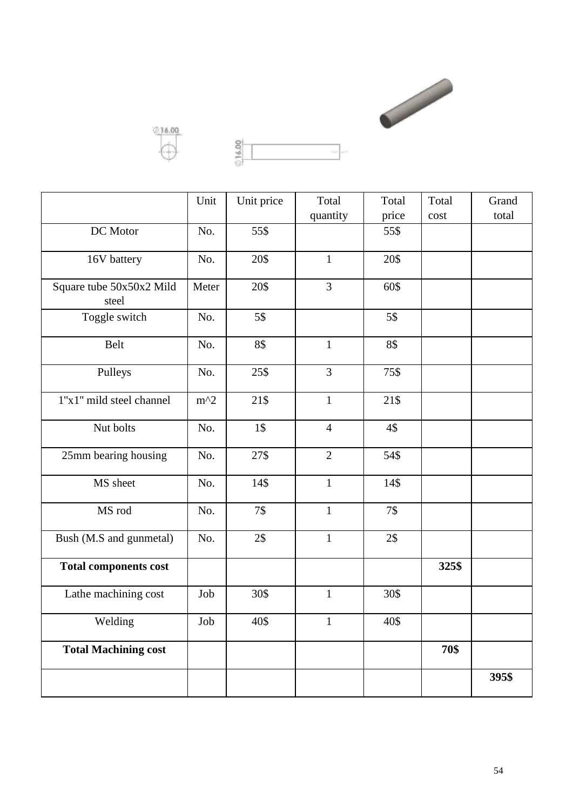



| н |  | Financia sono |
|---|--|---------------|
| ÷ |  |               |

|                                   | Unit  | Unit price | Total          | Total | Total | Grand |
|-----------------------------------|-------|------------|----------------|-------|-------|-------|
|                                   |       |            | quantity       | price | cost  | total |
| DC Motor                          | No.   | 55\$       |                | 55\$  |       |       |
| 16V battery                       | No.   | 20\$       | $\mathbf{1}$   | 20\$  |       |       |
| Square tube 50x50x2 Mild<br>steel | Meter | 20\$       | 3              | 60\$  |       |       |
| Toggle switch                     | No.   | 5\$        |                | 5\$   |       |       |
| Belt                              | No.   | 8\$        | $\mathbf{1}$   | 8\$   |       |       |
| Pulleys                           | No.   | 25\$       | 3              | 75\$  |       |       |
| 1"x1" mild steel channel          | $m^2$ | 21\$       | $\mathbf{1}$   | 21\$  |       |       |
| Nut bolts                         | No.   | 1\$        | $\overline{4}$ | 4\$   |       |       |
| 25mm bearing housing              | No.   | 27\$       | $\overline{2}$ | 54\$  |       |       |
| MS sheet                          | No.   | 14\$       | $\mathbf{1}$   | 14\$  |       |       |
| MS rod                            | No.   | 7\$        | $\mathbf{1}$   | 7\$   |       |       |
| Bush (M.S and gunmetal)           | No.   | 2\$        | $\mathbf{1}$   | 2\$   |       |       |
| <b>Total components cost</b>      |       |            |                |       | 325\$ |       |
| Lathe machining cost              | Job   | 30\$       | $\mathbf{1}$   | 30\$  |       |       |
| Welding                           | Job   | 40\$       | $\mathbf{1}$   | 40\$  |       |       |
| <b>Total Machining cost</b>       |       |            |                |       | 70\$  |       |
|                                   |       |            |                |       |       | 395\$ |